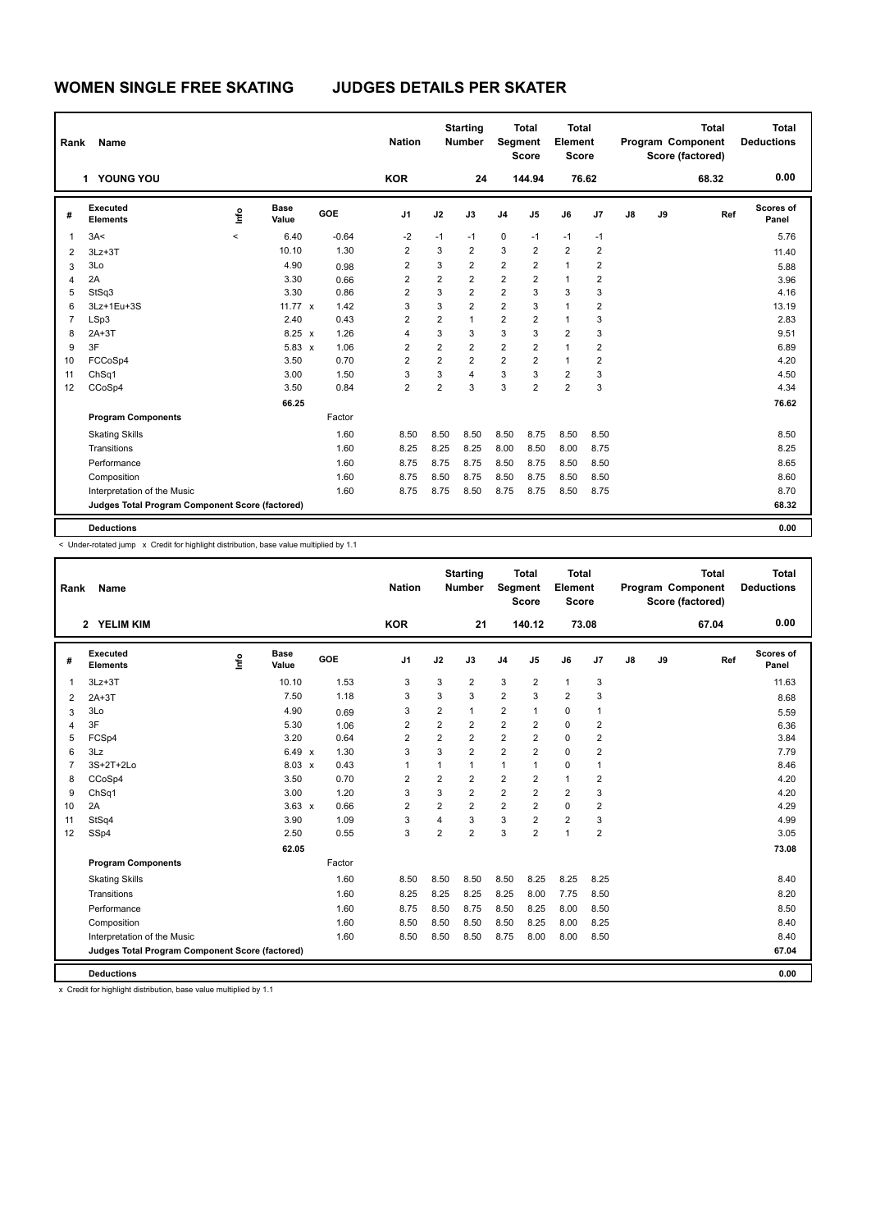| Rank           | Name                                            |         |                      |         | <b>Nation</b>           |                         | <b>Starting</b><br><b>Number</b> | Segment                 | <b>Total</b><br><b>Score</b> | <b>Total</b><br>Element<br><b>Score</b> |                         |    |    | <b>Total</b><br><b>Program Component</b><br>Score (factored) | <b>Total</b><br><b>Deductions</b> |
|----------------|-------------------------------------------------|---------|----------------------|---------|-------------------------|-------------------------|----------------------------------|-------------------------|------------------------------|-----------------------------------------|-------------------------|----|----|--------------------------------------------------------------|-----------------------------------|
|                | 1 YOUNG YOU                                     |         |                      |         | <b>KOR</b>              |                         | 24                               |                         | 144.94                       |                                         | 76.62                   |    |    | 68.32                                                        | 0.00                              |
| #              | Executed<br><b>Elements</b>                     | ۴       | <b>Base</b><br>Value | GOE     | J <sub>1</sub>          | J2                      | J3                               | J <sub>4</sub>          | J <sub>5</sub>               | J6                                      | J7                      | J8 | J9 | Ref                                                          | Scores of<br>Panel                |
| $\overline{1}$ | 3A<                                             | $\prec$ | 6.40                 | $-0.64$ | $-2$                    | $-1$                    | $-1$                             | 0                       | $-1$                         | $-1$                                    | $-1$                    |    |    |                                                              | 5.76                              |
| $\overline{2}$ | $3Lz + 3T$                                      |         | 10.10                | 1.30    | $\overline{\mathbf{c}}$ | 3                       | $\overline{2}$                   | 3                       | $\overline{2}$               | $\overline{2}$                          | $\overline{2}$          |    |    |                                                              | 11.40                             |
| 3              | 3Lo                                             |         | 4.90                 | 0.98    | $\overline{2}$          | 3                       | $\overline{2}$                   | $\overline{\mathbf{c}}$ | $\overline{2}$               | $\mathbf{1}$                            | $\overline{\mathbf{c}}$ |    |    |                                                              | 5.88                              |
| 4              | 2A                                              |         | 3.30                 | 0.66    | $\overline{2}$          | $\overline{2}$          | $\overline{2}$                   | $\overline{2}$          | 2                            | $\mathbf{1}$                            | $\overline{2}$          |    |    |                                                              | 3.96                              |
| 5              | StSq3                                           |         | 3.30                 | 0.86    | $\overline{2}$          | 3                       | $\overline{2}$                   | $\overline{2}$          | 3                            | 3                                       | 3                       |    |    |                                                              | 4.16                              |
| 6              | 3Lz+1Eu+3S                                      |         | 11.77 $\times$       | 1.42    | 3                       | 3                       | $\overline{2}$                   | $\overline{2}$          | 3                            | $\mathbf{1}$                            | 2                       |    |    |                                                              | 13.19                             |
| $\overline{7}$ | LSp3                                            |         | 2.40                 | 0.43    | $\overline{2}$          | $\overline{\mathbf{c}}$ | $\mathbf{1}$                     | 2                       | $\overline{2}$               | $\mathbf{1}$                            | 3                       |    |    |                                                              | 2.83                              |
| 8              | $2A+3T$                                         |         | $8.25 \times$        | 1.26    | 4                       | 3                       | 3                                | 3                       | 3                            | $\overline{2}$                          | 3                       |    |    |                                                              | 9.51                              |
| 9              | 3F                                              |         | $5.83 \times$        | 1.06    | $\overline{2}$          | $\overline{2}$          | $\overline{2}$                   | $\overline{\mathbf{c}}$ | $\overline{2}$               | $\mathbf{1}$                            | $\overline{2}$          |    |    |                                                              | 6.89                              |
| 10             | FCCoSp4                                         |         | 3.50                 | 0.70    | $\overline{2}$          | $\overline{2}$          | $\overline{2}$                   | $\overline{2}$          | $\overline{2}$               | $\mathbf{1}$                            | $\overline{2}$          |    |    |                                                              | 4.20                              |
| 11             | ChSq1                                           |         | 3.00                 | 1.50    | 3                       | 3                       | $\overline{4}$                   | 3                       | 3                            | $\overline{2}$                          | 3                       |    |    |                                                              | 4.50                              |
| 12             | CCoSp4                                          |         | 3.50                 | 0.84    | $\overline{2}$          | $\overline{2}$          | 3                                | 3                       | $\overline{2}$               | $\overline{2}$                          | 3                       |    |    |                                                              | 4.34                              |
|                |                                                 |         | 66.25                |         |                         |                         |                                  |                         |                              |                                         |                         |    |    |                                                              | 76.62                             |
|                | <b>Program Components</b>                       |         |                      | Factor  |                         |                         |                                  |                         |                              |                                         |                         |    |    |                                                              |                                   |
|                | <b>Skating Skills</b>                           |         |                      | 1.60    | 8.50                    | 8.50                    | 8.50                             | 8.50                    | 8.75                         | 8.50                                    | 8.50                    |    |    |                                                              | 8.50                              |
|                | Transitions                                     |         |                      | 1.60    | 8.25                    | 8.25                    | 8.25                             | 8.00                    | 8.50                         | 8.00                                    | 8.75                    |    |    |                                                              | 8.25                              |
|                | Performance                                     |         |                      | 1.60    | 8.75                    | 8.75                    | 8.75                             | 8.50                    | 8.75                         | 8.50                                    | 8.50                    |    |    |                                                              | 8.65                              |
|                | Composition                                     |         |                      | 1.60    | 8.75                    | 8.50                    | 8.75                             | 8.50                    | 8.75                         | 8.50                                    | 8.50                    |    |    |                                                              | 8.60                              |
|                | Interpretation of the Music                     |         |                      | 1.60    | 8.75                    | 8.75                    | 8.50                             | 8.75                    | 8.75                         | 8.50                                    | 8.75                    |    |    |                                                              | 8.70                              |
|                | Judges Total Program Component Score (factored) |         |                      |         |                         |                         |                                  |                         |                              |                                         |                         |    |    |                                                              | 68.32                             |
|                | <b>Deductions</b>                               |         |                      |         |                         |                         |                                  |                         |                              |                                         |                         |    |    |                                                              | 0.00                              |

< Under-rotated jump x Credit for highlight distribution, base value multiplied by 1.1

| Rank           | Name                                            |    |               |        | <b>Nation</b>  |                         | <b>Starting</b><br><b>Number</b> | Segment        | <b>Total</b><br><b>Score</b> | Total<br>Element<br><b>Score</b> |                |               |    | <b>Total</b><br>Program Component<br>Score (factored) | <b>Total</b><br><b>Deductions</b> |
|----------------|-------------------------------------------------|----|---------------|--------|----------------|-------------------------|----------------------------------|----------------|------------------------------|----------------------------------|----------------|---------------|----|-------------------------------------------------------|-----------------------------------|
|                | 2 YELIM KIM                                     |    |               |        | <b>KOR</b>     |                         | 21                               |                | 140.12                       |                                  | 73.08          |               |    | 67.04                                                 | 0.00                              |
| #              | Executed<br><b>Elements</b>                     | ۴ô | Base<br>Value | GOE    | J <sub>1</sub> | J2                      | J3                               | J <sub>4</sub> | J <sub>5</sub>               | J6                               | J <sub>7</sub> | $\mathsf{J}8$ | J9 | Ref                                                   | Scores of<br>Panel                |
| $\mathbf{1}$   | $3Lz + 3T$                                      |    | 10.10         | 1.53   | 3              | 3                       | 2                                | 3              | $\overline{\mathbf{c}}$      | $\mathbf{1}$                     | 3              |               |    |                                                       | 11.63                             |
| 2              | $2A+3T$                                         |    | 7.50          | 1.18   | 3              | 3                       | 3                                | $\overline{2}$ | 3                            | $\overline{2}$                   | 3              |               |    |                                                       | 8.68                              |
| 3              | 3Lo                                             |    | 4.90          | 0.69   | 3              | $\overline{2}$          | 1                                | $\overline{2}$ | 1                            | $\mathbf 0$                      | $\mathbf{1}$   |               |    |                                                       | 5.59                              |
| 4              | 3F                                              |    | 5.30          | 1.06   | $\overline{2}$ | $\overline{2}$          | $\overline{2}$                   | $\overline{2}$ | 2                            | 0                                | $\overline{2}$ |               |    |                                                       | 6.36                              |
| 5              | FCSp4                                           |    | 3.20          | 0.64   | $\overline{2}$ | $\overline{2}$          | $\overline{2}$                   | $\overline{2}$ | $\overline{2}$               | $\Omega$                         | $\overline{2}$ |               |    |                                                       | 3.84                              |
| 6              | 3Lz                                             |    | 6.49 x        | 1.30   | 3              | 3                       | $\overline{2}$                   | $\overline{2}$ | $\overline{2}$               | $\mathbf 0$                      | $\overline{2}$ |               |    |                                                       | 7.79                              |
| $\overline{7}$ | 3S+2T+2Lo                                       |    | 8.03 x        | 0.43   | 1              | 1                       | $\mathbf 1$                      | $\mathbf{1}$   | 1                            | $\mathbf 0$                      | $\mathbf{1}$   |               |    |                                                       | 8.46                              |
| 8              | CCoSp4                                          |    | 3.50          | 0.70   | $\overline{2}$ | $\overline{2}$          | $\overline{2}$                   | $\overline{2}$ | $\overline{2}$               | $\mathbf{1}$                     | $\overline{2}$ |               |    |                                                       | 4.20                              |
| 9              | ChSq1                                           |    | 3.00          | 1.20   | 3              | 3                       | $\overline{2}$                   | $\overline{2}$ | $\overline{2}$               | $\overline{2}$                   | 3              |               |    |                                                       | 4.20                              |
| 10             | 2A                                              |    | $3.63 \times$ | 0.66   | $\overline{2}$ | $\overline{\mathbf{c}}$ | $\overline{2}$                   | $\overline{2}$ | $\overline{2}$               | $\mathbf 0$                      | $\overline{2}$ |               |    |                                                       | 4.29                              |
| 11             | StSq4                                           |    | 3.90          | 1.09   | 3              | 4                       | 3                                | 3              | $\overline{2}$               | $\overline{2}$                   | 3              |               |    |                                                       | 4.99                              |
| 12             | SSp4                                            |    | 2.50          | 0.55   | 3              | $\overline{2}$          | $\overline{2}$                   | 3              | $\overline{2}$               | 1                                | $\overline{2}$ |               |    |                                                       | 3.05                              |
|                |                                                 |    | 62.05         |        |                |                         |                                  |                |                              |                                  |                |               |    |                                                       | 73.08                             |
|                | <b>Program Components</b>                       |    |               | Factor |                |                         |                                  |                |                              |                                  |                |               |    |                                                       |                                   |
|                | <b>Skating Skills</b>                           |    |               | 1.60   | 8.50           | 8.50                    | 8.50                             | 8.50           | 8.25                         | 8.25                             | 8.25           |               |    |                                                       | 8.40                              |
|                | Transitions                                     |    |               | 1.60   | 8.25           | 8.25                    | 8.25                             | 8.25           | 8.00                         | 7.75                             | 8.50           |               |    |                                                       | 8.20                              |
|                | Performance                                     |    |               | 1.60   | 8.75           | 8.50                    | 8.75                             | 8.50           | 8.25                         | 8.00                             | 8.50           |               |    |                                                       | 8.50                              |
|                | Composition                                     |    |               | 1.60   | 8.50           | 8.50                    | 8.50                             | 8.50           | 8.25                         | 8.00                             | 8.25           |               |    |                                                       | 8.40                              |
|                | Interpretation of the Music                     |    |               | 1.60   | 8.50           | 8.50                    | 8.50                             | 8.75           | 8.00                         | 8.00                             | 8.50           |               |    |                                                       | 8.40                              |
|                | Judges Total Program Component Score (factored) |    |               |        |                |                         |                                  |                |                              |                                  |                |               |    |                                                       | 67.04                             |
|                | <b>Deductions</b>                               |    |               |        |                |                         |                                  |                |                              |                                  |                |               |    |                                                       | 0.00                              |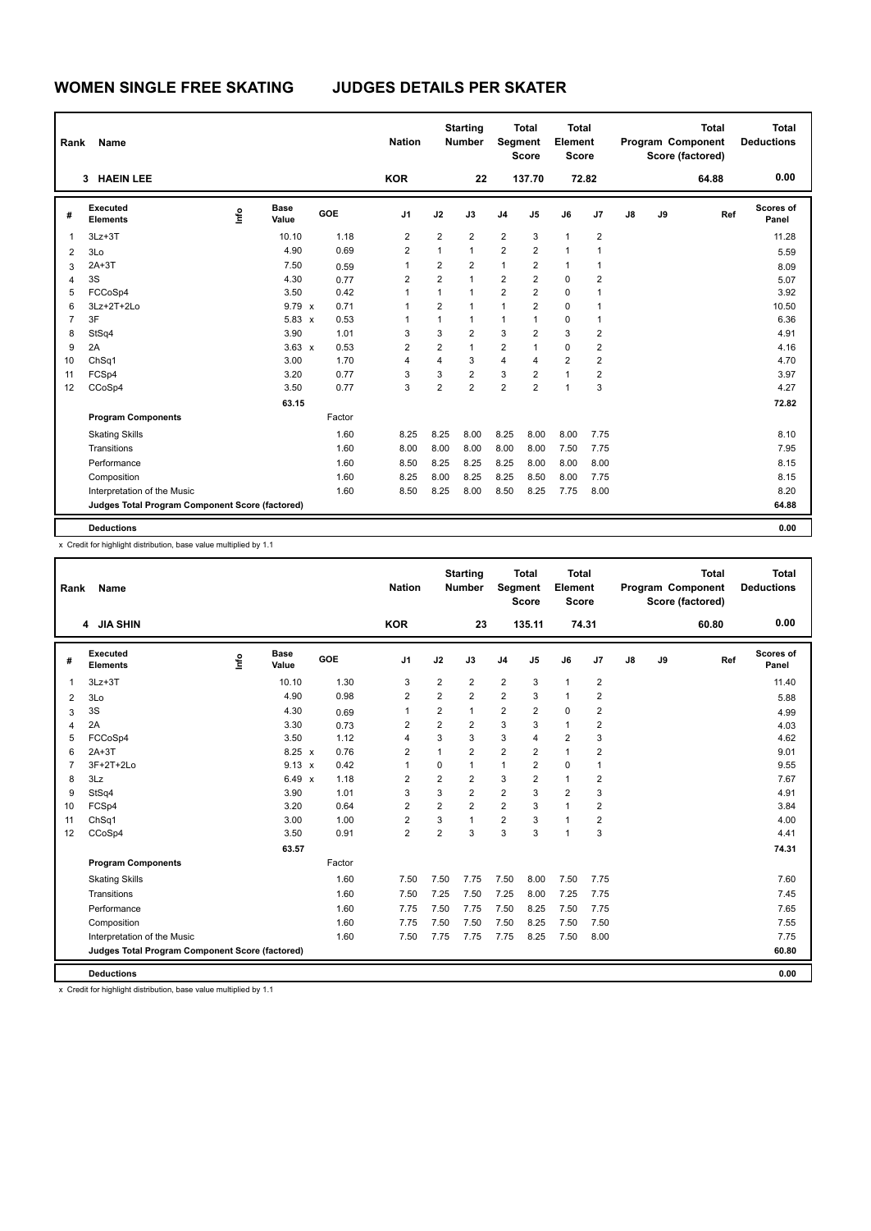# **WOMEN SINGLE FREE SKATING JUDGES DETAILS PER SKATER**

| Rank           | <b>Name</b>                                     |      |                      |        | <b>Nation</b>  |                | <b>Starting</b><br><b>Number</b> | <b>Segment</b>          | <b>Total</b><br><b>Score</b> | <b>Total</b><br>Element<br><b>Score</b> |                         |    |    | <b>Total</b><br><b>Program Component</b><br>Score (factored) | <b>Total</b><br><b>Deductions</b> |
|----------------|-------------------------------------------------|------|----------------------|--------|----------------|----------------|----------------------------------|-------------------------|------------------------------|-----------------------------------------|-------------------------|----|----|--------------------------------------------------------------|-----------------------------------|
|                | <b>HAEIN LEE</b><br>3                           |      |                      |        | <b>KOR</b>     |                | 22                               |                         | 137.70                       |                                         | 72.82                   |    |    | 64.88                                                        | 0.00                              |
| #              | Executed<br><b>Elements</b>                     | Info | <b>Base</b><br>Value | GOE    | J <sub>1</sub> | J2             | J3                               | J <sub>4</sub>          | J <sub>5</sub>               | J6                                      | J7                      | J8 | J9 | Ref                                                          | Scores of<br>Panel                |
| $\mathbf{1}$   | $3Lz + 3T$                                      |      | 10.10                | 1.18   | 2              | $\overline{2}$ | $\overline{2}$                   | $\overline{2}$          | 3                            | $\mathbf{1}$                            | 2                       |    |    |                                                              | 11.28                             |
| $\overline{2}$ | 3Lo                                             |      | 4.90                 | 0.69   | $\overline{2}$ | $\mathbf{1}$   | $\mathbf{1}$                     | $\overline{2}$          | $\overline{2}$               | $\mathbf{1}$                            | 1                       |    |    |                                                              | 5.59                              |
| 3              | $2A+3T$                                         |      | 7.50                 | 0.59   | 1              | 2              | $\overline{2}$                   | $\mathbf{1}$            | 2                            | $\mathbf{1}$                            | 1                       |    |    |                                                              | 8.09                              |
| 4              | 3S                                              |      | 4.30                 | 0.77   | 2              | $\overline{2}$ | $\mathbf{1}$                     | 2                       | 2                            | 0                                       | $\overline{2}$          |    |    |                                                              | 5.07                              |
| 5              | FCCoSp4                                         |      | 3.50                 | 0.42   | 1              | $\mathbf{1}$   | $\mathbf{1}$                     | $\overline{\mathbf{c}}$ | $\overline{2}$               | $\mathbf 0$                             | 1                       |    |    |                                                              | 3.92                              |
| 6              | 3Lz+2T+2Lo                                      |      | $9.79 \times$        | 0.71   | 1              | $\overline{2}$ | $\mathbf{1}$                     | 1                       | $\overline{2}$               | $\mathbf 0$                             | 1                       |    |    |                                                              | 10.50                             |
| $\overline{7}$ | 3F                                              |      | $5.83 \times$        | 0.53   | 1              | 1              | $\mathbf{1}$                     | 1                       | 1                            | 0                                       | 1                       |    |    |                                                              | 6.36                              |
| 8              | StSq4                                           |      | 3.90                 | 1.01   | 3              | 3              | $\overline{2}$                   | 3                       | $\overline{2}$               | 3                                       | $\overline{2}$          |    |    |                                                              | 4.91                              |
| 9              | 2A                                              |      | $3.63 \times$        | 0.53   | $\overline{2}$ | $\overline{2}$ | $\mathbf{1}$                     | $\overline{2}$          | $\overline{1}$               | $\Omega$                                | $\overline{2}$          |    |    |                                                              | 4.16                              |
| 10             | ChSq1                                           |      | 3.00                 | 1.70   | 4              | 4              | 3                                | 4                       | 4                            | $\overline{2}$                          | $\overline{2}$          |    |    |                                                              | 4.70                              |
| 11             | FCSp4                                           |      | 3.20                 | 0.77   | 3              | 3              | $\overline{2}$                   | 3                       | $\overline{2}$               | $\mathbf{1}$                            | $\overline{\mathbf{c}}$ |    |    |                                                              | 3.97                              |
| 12             | CCoSp4                                          |      | 3.50                 | 0.77   | 3              | $\overline{2}$ | $\overline{2}$                   | $\overline{2}$          | $\overline{2}$               | $\mathbf{1}$                            | 3                       |    |    |                                                              | 4.27                              |
|                |                                                 |      | 63.15                |        |                |                |                                  |                         |                              |                                         |                         |    |    |                                                              | 72.82                             |
|                | <b>Program Components</b>                       |      |                      | Factor |                |                |                                  |                         |                              |                                         |                         |    |    |                                                              |                                   |
|                | <b>Skating Skills</b>                           |      |                      | 1.60   | 8.25           | 8.25           | 8.00                             | 8.25                    | 8.00                         | 8.00                                    | 7.75                    |    |    |                                                              | 8.10                              |
|                | Transitions                                     |      |                      | 1.60   | 8.00           | 8.00           | 8.00                             | 8.00                    | 8.00                         | 7.50                                    | 7.75                    |    |    |                                                              | 7.95                              |
|                | Performance                                     |      |                      | 1.60   | 8.50           | 8.25           | 8.25                             | 8.25                    | 8.00                         | 8.00                                    | 8.00                    |    |    |                                                              | 8.15                              |
|                | Composition                                     |      |                      | 1.60   | 8.25           | 8.00           | 8.25                             | 8.25                    | 8.50                         | 8.00                                    | 7.75                    |    |    |                                                              | 8.15                              |
|                | Interpretation of the Music                     |      |                      | 1.60   | 8.50           | 8.25           | 8.00                             | 8.50                    | 8.25                         | 7.75                                    | 8.00                    |    |    |                                                              | 8.20                              |
|                | Judges Total Program Component Score (factored) |      |                      |        |                |                |                                  |                         |                              |                                         |                         |    |    |                                                              | 64.88                             |
|                | <b>Deductions</b>                               |      |                      |        |                |                |                                  |                         |                              |                                         |                         |    |    |                                                              | 0.00                              |

x Credit for highlight distribution, base value multiplied by 1.1

| Rank           | Name                                            |      |                      |        | <b>Nation</b>  |                         | <b>Starting</b><br><b>Number</b> | Segment        | <b>Total</b><br><b>Score</b> | Total<br>Element<br><b>Score</b> |                         |    |    | <b>Total</b><br>Program Component<br>Score (factored) | <b>Total</b><br><b>Deductions</b> |
|----------------|-------------------------------------------------|------|----------------------|--------|----------------|-------------------------|----------------------------------|----------------|------------------------------|----------------------------------|-------------------------|----|----|-------------------------------------------------------|-----------------------------------|
|                | 4 JIA SHIN                                      |      |                      |        | <b>KOR</b>     |                         | 23                               |                | 135.11                       |                                  | 74.31                   |    |    | 60.80                                                 | 0.00                              |
| #              | Executed<br><b>Elements</b>                     | Info | <b>Base</b><br>Value | GOE    | J <sub>1</sub> | J2                      | J3                               | J <sub>4</sub> | J5                           | J6                               | J7                      | J8 | J9 | Ref                                                   | Scores of<br>Panel                |
| $\mathbf{1}$   | $3Lz + 3T$                                      |      | 10.10                | 1.30   | 3              | $\overline{2}$          | $\overline{2}$                   | $\overline{2}$ | 3                            | $\mathbf{1}$                     | $\overline{\mathbf{c}}$ |    |    |                                                       | 11.40                             |
| 2              | 3Lo                                             |      | 4.90                 | 0.98   | $\overline{2}$ | $\overline{2}$          | $\overline{2}$                   | $\overline{2}$ | 3                            | $\mathbf{1}$                     | $\overline{2}$          |    |    |                                                       | 5.88                              |
| 3              | 3S                                              |      | 4.30                 | 0.69   | $\mathbf{1}$   | $\overline{\mathbf{c}}$ | 1                                | $\overline{2}$ | $\overline{2}$               | $\mathbf 0$                      | $\overline{2}$          |    |    |                                                       | 4.99                              |
| $\overline{4}$ | 2A                                              |      | 3.30                 | 0.73   | $\overline{2}$ | $\overline{2}$          | $\overline{\mathbf{c}}$          | 3              | 3                            | $\mathbf{1}$                     | $\overline{2}$          |    |    |                                                       | 4.03                              |
| 5              | FCCoSp4                                         |      | 3.50                 | 1.12   | $\overline{4}$ | 3                       | 3                                | 3              | 4                            | $\overline{2}$                   | 3                       |    |    |                                                       | 4.62                              |
| 6              | $2A+3T$                                         |      | $8.25 \times$        | 0.76   | $\overline{2}$ | 1                       | $\overline{2}$                   | $\overline{2}$ | $\overline{2}$               | $\mathbf{1}$                     | $\overline{2}$          |    |    |                                                       | 9.01                              |
| $\overline{7}$ | 3F+2T+2Lo                                       |      | $9.13 \times$        | 0.42   | $\mathbf{1}$   | 0                       | $\mathbf{1}$                     | $\mathbf{1}$   | $\overline{2}$               | $\mathbf 0$                      | 1                       |    |    |                                                       | 9.55                              |
| 8              | 3Lz                                             |      | $6.49 \times$        | 1.18   | $\overline{2}$ | $\overline{2}$          | $\overline{2}$                   | 3              | $\overline{2}$               | $\mathbf{1}$                     | $\overline{2}$          |    |    |                                                       | 7.67                              |
| 9              | StSq4                                           |      | 3.90                 | 1.01   | 3              | 3                       | $\overline{2}$                   | $\overline{2}$ | 3                            | $\overline{2}$                   | 3                       |    |    |                                                       | 4.91                              |
| 10             | FCSp4                                           |      | 3.20                 | 0.64   | $\overline{2}$ | $\overline{\mathbf{c}}$ | $\overline{2}$                   | $\overline{2}$ | 3                            | $\mathbf{1}$                     | $\overline{2}$          |    |    |                                                       | 3.84                              |
| 11             | ChSq1                                           |      | 3.00                 | 1.00   | $\overline{2}$ | 3                       | 1                                | $\overline{2}$ | 3                            | $\mathbf{1}$                     | $\overline{2}$          |    |    |                                                       | 4.00                              |
| 12             | CCoSp4                                          |      | 3.50                 | 0.91   | $\overline{2}$ | $\overline{2}$          | 3                                | 3              | 3                            | $\overline{1}$                   | 3                       |    |    |                                                       | 4.41                              |
|                |                                                 |      | 63.57                |        |                |                         |                                  |                |                              |                                  |                         |    |    |                                                       | 74.31                             |
|                | <b>Program Components</b>                       |      |                      | Factor |                |                         |                                  |                |                              |                                  |                         |    |    |                                                       |                                   |
|                | <b>Skating Skills</b>                           |      |                      | 1.60   | 7.50           | 7.50                    | 7.75                             | 7.50           | 8.00                         | 7.50                             | 7.75                    |    |    |                                                       | 7.60                              |
|                | Transitions                                     |      |                      | 1.60   | 7.50           | 7.25                    | 7.50                             | 7.25           | 8.00                         | 7.25                             | 7.75                    |    |    |                                                       | 7.45                              |
|                | Performance                                     |      |                      | 1.60   | 7.75           | 7.50                    | 7.75                             | 7.50           | 8.25                         | 7.50                             | 7.75                    |    |    |                                                       | 7.65                              |
|                | Composition                                     |      |                      | 1.60   | 7.75           | 7.50                    | 7.50                             | 7.50           | 8.25                         | 7.50                             | 7.50                    |    |    |                                                       | 7.55                              |
|                | Interpretation of the Music                     |      |                      | 1.60   | 7.50           | 7.75                    | 7.75                             | 7.75           | 8.25                         | 7.50                             | 8.00                    |    |    |                                                       | 7.75                              |
|                | Judges Total Program Component Score (factored) |      |                      |        |                |                         |                                  |                |                              |                                  |                         |    |    |                                                       | 60.80                             |
|                | <b>Deductions</b>                               |      |                      |        |                |                         |                                  |                |                              |                                  |                         |    |    |                                                       | 0.00                              |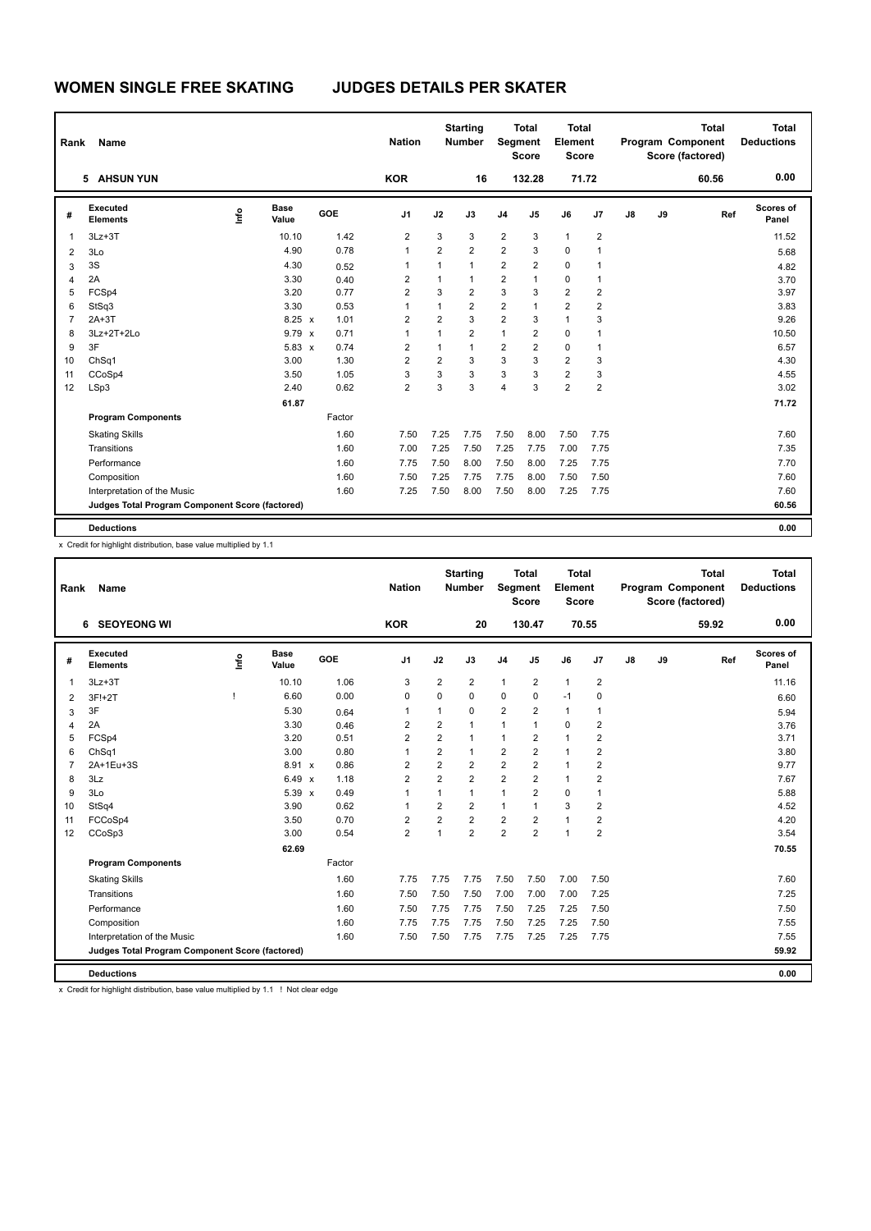# **WOMEN SINGLE FREE SKATING JUDGES DETAILS PER SKATER**

| Rank           | <b>Name</b>                                     |      |                      |        | <b>Nation</b>  |                | <b>Starting</b><br><b>Number</b> | Segment        | <b>Total</b><br><b>Score</b> | <b>Total</b><br>Element<br><b>Score</b> |                |    |    | <b>Total</b><br><b>Program Component</b><br>Score (factored) | <b>Total</b><br><b>Deductions</b> |
|----------------|-------------------------------------------------|------|----------------------|--------|----------------|----------------|----------------------------------|----------------|------------------------------|-----------------------------------------|----------------|----|----|--------------------------------------------------------------|-----------------------------------|
|                | <b>AHSUN YUN</b><br>5                           |      |                      |        | <b>KOR</b>     |                | 16                               |                | 132.28                       | 71.72                                   |                |    |    | 60.56                                                        | 0.00                              |
| #              | Executed<br><b>Elements</b>                     | Info | <b>Base</b><br>Value | GOE    | J <sub>1</sub> | J2             | J3                               | J <sub>4</sub> | J <sub>5</sub>               | J6                                      | J7             | J8 | J9 | Ref                                                          | Scores of<br>Panel                |
| $\mathbf{1}$   | $3Lz + 3T$                                      |      | 10.10                | 1.42   | 2              | 3              | 3                                | $\overline{2}$ | 3                            | $\mathbf{1}$                            | 2              |    |    |                                                              | 11.52                             |
| $\overline{2}$ | 3Lo                                             |      | 4.90                 | 0.78   | $\mathbf{1}$   | $\overline{2}$ | $\overline{2}$                   | $\overline{2}$ | 3                            | $\mathbf 0$                             | 1              |    |    |                                                              | 5.68                              |
| 3              | 3S                                              |      | 4.30                 | 0.52   | 1              | 1              | $\mathbf{1}$                     | $\overline{2}$ | $\overline{2}$               | 0                                       | 1              |    |    |                                                              | 4.82                              |
| 4              | 2A                                              |      | 3.30                 | 0.40   | 2              | $\mathbf{1}$   | $\mathbf 1$                      | 2              | 1                            | 0                                       | 1              |    |    |                                                              | 3.70                              |
| 5              | FCSp4                                           |      | 3.20                 | 0.77   | $\overline{2}$ | 3              | $\overline{2}$                   | 3              | 3                            | $\overline{2}$                          | $\overline{2}$ |    |    |                                                              | 3.97                              |
| 6              | StSq3                                           |      | 3.30                 | 0.53   | 1              | 1              | $\overline{2}$                   | $\overline{2}$ | 1                            | $\overline{2}$                          | $\overline{2}$ |    |    |                                                              | 3.83                              |
| $\overline{7}$ | $2A+3T$                                         |      | 8.25 x               | 1.01   | 2              | $\overline{2}$ | 3                                | $\overline{2}$ | 3                            | $\mathbf{1}$                            | 3              |    |    |                                                              | 9.26                              |
| 8              | 3Lz+2T+2Lo                                      |      | $9.79 \times$        | 0.71   | 1              | 1              | $\overline{2}$                   | 1              | $\overline{2}$               | 0                                       | 1              |    |    |                                                              | 10.50                             |
| 9              | 3F                                              |      | $5.83 \times$        | 0.74   | 2              | 1              | $\mathbf{1}$                     | 2              | $\overline{2}$               | $\Omega$                                | $\mathbf 1$    |    |    |                                                              | 6.57                              |
| 10             | ChSq1                                           |      | 3.00                 | 1.30   | $\overline{2}$ | $\overline{2}$ | 3                                | 3              | 3                            | $\overline{2}$                          | 3              |    |    |                                                              | 4.30                              |
| 11             | CCoSp4                                          |      | 3.50                 | 1.05   | 3              | 3              | 3                                | 3              | 3                            | $\overline{2}$                          | 3              |    |    |                                                              | 4.55                              |
| 12             | LSp3                                            |      | 2.40                 | 0.62   | $\overline{2}$ | 3              | 3                                | 4              | 3                            | $\overline{2}$                          | $\overline{2}$ |    |    |                                                              | 3.02                              |
|                |                                                 |      | 61.87                |        |                |                |                                  |                |                              |                                         |                |    |    |                                                              | 71.72                             |
|                | <b>Program Components</b>                       |      |                      | Factor |                |                |                                  |                |                              |                                         |                |    |    |                                                              |                                   |
|                | <b>Skating Skills</b>                           |      |                      | 1.60   | 7.50           | 7.25           | 7.75                             | 7.50           | 8.00                         | 7.50                                    | 7.75           |    |    |                                                              | 7.60                              |
|                | Transitions                                     |      |                      | 1.60   | 7.00           | 7.25           | 7.50                             | 7.25           | 7.75                         | 7.00                                    | 7.75           |    |    |                                                              | 7.35                              |
|                | Performance                                     |      |                      | 1.60   | 7.75           | 7.50           | 8.00                             | 7.50           | 8.00                         | 7.25                                    | 7.75           |    |    |                                                              | 7.70                              |
|                | Composition                                     |      |                      | 1.60   | 7.50           | 7.25           | 7.75                             | 7.75           | 8.00                         | 7.50                                    | 7.50           |    |    |                                                              | 7.60                              |
|                | Interpretation of the Music                     |      |                      | 1.60   | 7.25           | 7.50           | 8.00                             | 7.50           | 8.00                         | 7.25                                    | 7.75           |    |    |                                                              | 7.60                              |
|                | Judges Total Program Component Score (factored) |      |                      |        |                |                |                                  |                |                              |                                         |                |    |    |                                                              | 60.56                             |
|                | <b>Deductions</b>                               |      |                      |        |                |                |                                  |                |                              |                                         |                |    |    |                                                              | 0.00                              |

x Credit for highlight distribution, base value multiplied by 1.1

| Rank           | Name                                            |    |               |                      | <b>Nation</b>  |                         | <b>Starting</b><br><b>Number</b> | Segment                 | <b>Total</b><br><b>Score</b> | Total<br>Element<br><b>Score</b> |                |    |    | <b>Total</b><br>Program Component<br>Score (factored) | <b>Total</b><br><b>Deductions</b> |
|----------------|-------------------------------------------------|----|---------------|----------------------|----------------|-------------------------|----------------------------------|-------------------------|------------------------------|----------------------------------|----------------|----|----|-------------------------------------------------------|-----------------------------------|
|                | <b>SEOYEONG WI</b><br>6                         |    |               |                      | <b>KOR</b>     |                         | 20                               |                         | 130.47                       |                                  | 70.55          |    |    | 59.92                                                 | 0.00                              |
| #              | Executed<br><b>Elements</b>                     | ۴ô | Base<br>Value | GOE                  | J <sub>1</sub> | J2                      | J3                               | J <sub>4</sub>          | J5                           | J6                               | J7             | J8 | J9 | Ref                                                   | <b>Scores of</b><br>Panel         |
| $\mathbf{1}$   | $3Lz + 3T$                                      |    | 10.10         | 1.06                 | 3              | $\overline{2}$          | $\overline{2}$                   | $\mathbf{1}$            | $\overline{2}$               | $\mathbf{1}$                     | $\overline{2}$ |    |    |                                                       | 11.16                             |
| 2              | 3F!+2T                                          | I  | 6.60          | 0.00                 | 0              | $\Omega$                | 0                                | $\mathbf 0$             | $\Omega$                     | $-1$                             | $\mathbf 0$    |    |    |                                                       | 6.60                              |
| 3              | 3F                                              |    | 5.30          | 0.64                 | 1              | 1                       | $\Omega$                         | $\overline{2}$          | $\overline{2}$               | $\mathbf{1}$                     | $\mathbf{1}$   |    |    |                                                       | 5.94                              |
| 4              | 2A                                              |    | 3.30          | 0.46                 | $\overline{2}$ | $\overline{2}$          | 1                                | $\mathbf{1}$            | 1                            | $\mathbf 0$                      | $\overline{2}$ |    |    |                                                       | 3.76                              |
| 5              | FCSp4                                           |    | 3.20          | 0.51                 | $\overline{2}$ | $\overline{\mathbf{c}}$ | 1                                | $\mathbf{1}$            | 2                            | $\mathbf{1}$                     | $\overline{2}$ |    |    |                                                       | 3.71                              |
| 6              | ChSq1                                           |    | 3.00          | 0.80                 | $\mathbf{1}$   | $\overline{\mathbf{c}}$ | 1                                | $\overline{2}$          | $\overline{2}$               | $\mathbf{1}$                     | $\overline{2}$ |    |    |                                                       | 3.80                              |
| $\overline{7}$ | 2A+1Eu+3S                                       |    | 8.91 x        | 0.86                 | $\overline{2}$ | $\overline{2}$          | $\overline{2}$                   | $\overline{2}$          | $\overline{2}$               | $\mathbf{1}$                     | $\overline{2}$ |    |    |                                                       | 9.77                              |
| 8              | 3Lz                                             |    | 6.49          | 1.18<br>$\mathsf{x}$ | $\overline{2}$ | $\overline{2}$          | $\overline{2}$                   | $\overline{2}$          | $\overline{2}$               | $\mathbf{1}$                     | $\overline{2}$ |    |    |                                                       | 7.67                              |
| 9              | 3Lo                                             |    | $5.39 \times$ | 0.49                 | $\mathbf{1}$   | 1                       | $\mathbf{1}$                     | $\mathbf{1}$            | $\overline{2}$               | $\mathbf 0$                      | $\mathbf{1}$   |    |    |                                                       | 5.88                              |
| 10             | StSq4                                           |    | 3.90          | 0.62                 | $\overline{1}$ | $\overline{2}$          | $\overline{2}$                   | $\mathbf{1}$            | 1                            | 3                                | $\overline{2}$ |    |    |                                                       | 4.52                              |
| 11             | FCCoSp4                                         |    | 3.50          | 0.70                 | $\overline{2}$ | $\overline{2}$          | 2                                | $\overline{\mathbf{c}}$ | 2                            | $\mathbf{1}$                     | $\overline{2}$ |    |    |                                                       | 4.20                              |
| 12             | CCoSp3                                          |    | 3.00          | 0.54                 | $\overline{2}$ | 1                       | $\overline{2}$                   | $\overline{2}$          | $\overline{2}$               | $\mathbf{1}$                     | $\overline{2}$ |    |    |                                                       | 3.54                              |
|                |                                                 |    | 62.69         |                      |                |                         |                                  |                         |                              |                                  |                |    |    |                                                       | 70.55                             |
|                | <b>Program Components</b>                       |    |               | Factor               |                |                         |                                  |                         |                              |                                  |                |    |    |                                                       |                                   |
|                | <b>Skating Skills</b>                           |    |               | 1.60                 | 7.75           | 7.75                    | 7.75                             | 7.50                    | 7.50                         | 7.00                             | 7.50           |    |    |                                                       | 7.60                              |
|                | Transitions                                     |    |               | 1.60                 | 7.50           | 7.50                    | 7.50                             | 7.00                    | 7.00                         | 7.00                             | 7.25           |    |    |                                                       | 7.25                              |
|                | Performance                                     |    |               | 1.60                 | 7.50           | 7.75                    | 7.75                             | 7.50                    | 7.25                         | 7.25                             | 7.50           |    |    |                                                       | 7.50                              |
|                | Composition                                     |    |               | 1.60                 | 7.75           | 7.75                    | 7.75                             | 7.50                    | 7.25                         | 7.25                             | 7.50           |    |    |                                                       | 7.55                              |
|                | Interpretation of the Music                     |    |               | 1.60                 | 7.50           | 7.50                    | 7.75                             | 7.75                    | 7.25                         | 7.25                             | 7.75           |    |    |                                                       | 7.55                              |
|                | Judges Total Program Component Score (factored) |    |               |                      |                |                         |                                  |                         |                              |                                  |                |    |    |                                                       | 59.92                             |
|                | <b>Deductions</b>                               |    |               |                      |                |                         |                                  |                         |                              |                                  |                |    |    |                                                       | 0.00                              |

x Credit for highlight distribution, base value multiplied by 1.1 ! Not clear edge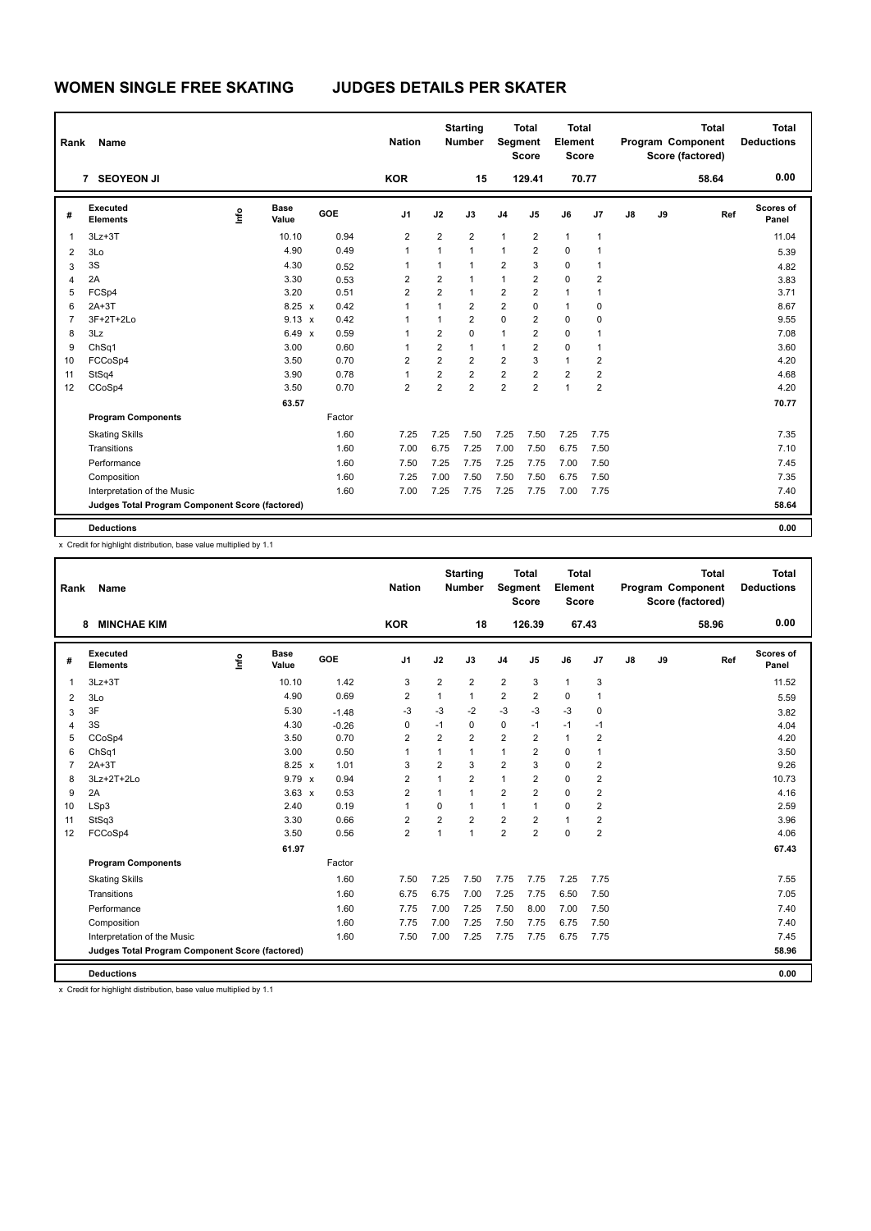# **WOMEN SINGLE FREE SKATING JUDGES DETAILS PER SKATER**

| Rank           | <b>Name</b>                                     |      |                      |        | <b>Nation</b>           |                | <b>Starting</b><br><b>Number</b> | Segment        | <b>Total</b><br><b>Score</b> | <b>Total</b><br>Element<br><b>Score</b> |                |    |    | <b>Total</b><br><b>Program Component</b><br>Score (factored) | <b>Total</b><br><b>Deductions</b> |
|----------------|-------------------------------------------------|------|----------------------|--------|-------------------------|----------------|----------------------------------|----------------|------------------------------|-----------------------------------------|----------------|----|----|--------------------------------------------------------------|-----------------------------------|
|                | 7 SEOYEON JI                                    |      |                      |        | <b>KOR</b>              |                | 15                               |                | 129.41                       | 70.77                                   |                |    |    | 58.64                                                        | 0.00                              |
| #              | Executed<br><b>Elements</b>                     | Info | <b>Base</b><br>Value | GOE    | J <sub>1</sub>          | J2             | J3                               | J <sub>4</sub> | J <sub>5</sub>               | J6                                      | J7             | J8 | J9 | Ref                                                          | Scores of<br>Panel                |
| $\mathbf{1}$   | $3Lz + 3T$                                      |      | 10.10                | 0.94   | $\overline{\mathbf{c}}$ | $\overline{2}$ | $\overline{2}$                   | $\mathbf{1}$   | $\overline{2}$               | $\mathbf{1}$                            | $\mathbf 1$    |    |    |                                                              | 11.04                             |
| $\overline{2}$ | 3Lo                                             |      | 4.90                 | 0.49   | $\mathbf{1}$            | $\mathbf{1}$   | $\mathbf{1}$                     | $\mathbf{1}$   | $\overline{2}$               | $\mathbf 0$                             | $\mathbf{1}$   |    |    |                                                              | 5.39                              |
| 3              | 3S                                              |      | 4.30                 | 0.52   | 1                       | 1              | $\mathbf{1}$                     | $\overline{2}$ | 3                            | $\mathbf 0$                             | 1              |    |    |                                                              | 4.82                              |
| 4              | 2A                                              |      | 3.30                 | 0.53   | 2                       | $\overline{2}$ | $\mathbf 1$                      | 1              | 2                            | $\mathbf 0$                             | 2              |    |    |                                                              | 3.83                              |
| 5              | FCSp4                                           |      | 3.20                 | 0.51   | $\overline{2}$          | $\overline{2}$ | $\mathbf{1}$                     | $\overline{2}$ | $\overline{2}$               | $\mathbf{1}$                            | 1              |    |    |                                                              | 3.71                              |
| 6              | $2A+3T$                                         |      | $8.25 \times$        | 0.42   | 1                       | 1              | $\overline{2}$                   | $\overline{2}$ | 0                            | $\mathbf{1}$                            | 0              |    |    |                                                              | 8.67                              |
| $\overline{7}$ | 3F+2T+2Lo                                       |      | $9.13 \times$        | 0.42   | 1                       | 1              | $\overline{2}$                   | 0              | $\overline{2}$               | $\mathbf 0$                             | 0              |    |    |                                                              | 9.55                              |
| 8              | 3Lz                                             |      | 6.49 x               | 0.59   | 1                       | $\overline{2}$ | $\mathbf 0$                      | 1              | $\overline{2}$               | $\mathbf 0$                             | 1              |    |    |                                                              | 7.08                              |
| 9              | ChSq1                                           |      | 3.00                 | 0.60   | 1                       | $\overline{2}$ | $\mathbf{1}$                     | 1              | $\overline{2}$               | $\mathbf 0$                             | 1              |    |    |                                                              | 3.60                              |
| 10             | FCCoSp4                                         |      | 3.50                 | 0.70   | $\overline{2}$          | $\overline{2}$ | $\overline{2}$                   | $\overline{2}$ | 3                            | $\mathbf{1}$                            | $\overline{2}$ |    |    |                                                              | 4.20                              |
| 11             | StSq4                                           |      | 3.90                 | 0.78   | 1                       | $\overline{2}$ | $\overline{2}$                   | $\overline{2}$ | $\overline{2}$               | $\overline{2}$                          | $\overline{2}$ |    |    |                                                              | 4.68                              |
| 12             | CCoSp4                                          |      | 3.50                 | 0.70   | $\overline{2}$          | $\overline{2}$ | $\overline{2}$                   | $\overline{2}$ | $\overline{2}$               | $\mathbf{1}$                            | $\overline{2}$ |    |    |                                                              | 4.20                              |
|                |                                                 |      | 63.57                |        |                         |                |                                  |                |                              |                                         |                |    |    |                                                              | 70.77                             |
|                | <b>Program Components</b>                       |      |                      | Factor |                         |                |                                  |                |                              |                                         |                |    |    |                                                              |                                   |
|                | <b>Skating Skills</b>                           |      |                      | 1.60   | 7.25                    | 7.25           | 7.50                             | 7.25           | 7.50                         | 7.25                                    | 7.75           |    |    |                                                              | 7.35                              |
|                | Transitions                                     |      |                      | 1.60   | 7.00                    | 6.75           | 7.25                             | 7.00           | 7.50                         | 6.75                                    | 7.50           |    |    |                                                              | 7.10                              |
|                | Performance                                     |      |                      | 1.60   | 7.50                    | 7.25           | 7.75                             | 7.25           | 7.75                         | 7.00                                    | 7.50           |    |    |                                                              | 7.45                              |
|                | Composition                                     |      |                      | 1.60   | 7.25                    | 7.00           | 7.50                             | 7.50           | 7.50                         | 6.75                                    | 7.50           |    |    |                                                              | 7.35                              |
|                | Interpretation of the Music                     |      |                      | 1.60   | 7.00                    | 7.25           | 7.75                             | 7.25           | 7.75                         | 7.00                                    | 7.75           |    |    |                                                              | 7.40                              |
|                | Judges Total Program Component Score (factored) |      |                      |        |                         |                |                                  |                |                              |                                         |                |    |    |                                                              | 58.64                             |
|                | <b>Deductions</b>                               |      |                      |        |                         |                |                                  |                |                              |                                         |                |    |    |                                                              | 0.00                              |

x Credit for highlight distribution, base value multiplied by 1.1

| Rank           | Name                                            |      |                      |         | <b>Nation</b>  |                | <b>Starting</b><br><b>Number</b> | Segment        | <b>Total</b><br><b>Score</b> | Total<br>Element<br><b>Score</b> |                         |    |    | <b>Total</b><br>Program Component<br>Score (factored) | Total<br><b>Deductions</b> |
|----------------|-------------------------------------------------|------|----------------------|---------|----------------|----------------|----------------------------------|----------------|------------------------------|----------------------------------|-------------------------|----|----|-------------------------------------------------------|----------------------------|
|                | <b>MINCHAE KIM</b><br>8                         |      |                      |         | <b>KOR</b>     |                | 18                               |                | 126.39                       |                                  | 67.43                   |    |    | 58.96                                                 | 0.00                       |
| #              | Executed<br><b>Elements</b>                     | lnfo | <b>Base</b><br>Value | GOE     | J1             | J2             | J3                               | J <sub>4</sub> | J5                           | J6                               | J7                      | J8 | J9 | Ref                                                   | Scores of<br>Panel         |
| $\mathbf{1}$   | $3Lz + 3T$                                      |      | 10.10                | 1.42    | 3              | $\overline{2}$ | $\overline{2}$                   | $\overline{2}$ | 3                            | $\mathbf{1}$                     | 3                       |    |    |                                                       | 11.52                      |
| 2              | 3Lo                                             |      | 4.90                 | 0.69    | $\overline{2}$ | 1              | $\mathbf{1}$                     | $\overline{2}$ | $\overline{2}$               | $\mathbf 0$                      | $\mathbf{1}$            |    |    |                                                       | 5.59                       |
| 3              | 3F                                              |      | 5.30                 | $-1.48$ | -3             | $-3$           | $-2$                             | $-3$           | $-3$                         | $-3$                             | 0                       |    |    |                                                       | 3.82                       |
| 4              | 3S                                              |      | 4.30                 | $-0.26$ | 0              | $-1$           | 0                                | $\mathbf 0$    | $-1$                         | $-1$                             | $-1$                    |    |    |                                                       | 4.04                       |
| 5              | CCoSp4                                          |      | 3.50                 | 0.70    | $\overline{2}$ | $\overline{2}$ | $\overline{2}$                   | $\overline{2}$ | $\overline{2}$               | $\mathbf{1}$                     | $\overline{\mathbf{c}}$ |    |    |                                                       | 4.20                       |
| 6              | ChSq1                                           |      | 3.00                 | 0.50    | 1              | 1              | 1                                | $\mathbf{1}$   | $\overline{2}$               | $\mathbf 0$                      | 1                       |    |    |                                                       | 3.50                       |
| $\overline{7}$ | $2A+3T$                                         |      | $8.25 \times$        | 1.01    | 3              | $\overline{2}$ | 3                                | $\overline{2}$ | 3                            | $\mathbf 0$                      | $\overline{2}$          |    |    |                                                       | 9.26                       |
| 8              | 3Lz+2T+2Lo                                      |      | $9.79 \times$        | 0.94    | $\overline{2}$ | 1              | $\overline{2}$                   | $\mathbf{1}$   | $\overline{2}$               | $\mathbf 0$                      | $\overline{\mathbf{c}}$ |    |    |                                                       | 10.73                      |
| 9              | 2A                                              |      | $3.63 \times$        | 0.53    | $\overline{2}$ | 1              | 1                                | $\overline{2}$ | $\overline{2}$               | $\mathbf 0$                      | $\overline{\mathbf{c}}$ |    |    |                                                       | 4.16                       |
| 10             | LSp3                                            |      | 2.40                 | 0.19    | 1              | $\Omega$       | $\mathbf{1}$                     | $\mathbf{1}$   | $\mathbf{1}$                 | $\mathbf 0$                      | $\overline{2}$          |    |    |                                                       | 2.59                       |
| 11             | StSq3                                           |      | 3.30                 | 0.66    | $\overline{2}$ | $\overline{2}$ | $\overline{2}$                   | $\overline{2}$ | $\overline{2}$               | $\mathbf{1}$                     | $\overline{\mathbf{c}}$ |    |    |                                                       | 3.96                       |
| 12             | FCCoSp4                                         |      | 3.50                 | 0.56    | $\overline{2}$ | 1              | 1                                | $\overline{2}$ | $\overline{2}$               | $\Omega$                         | $\overline{2}$          |    |    |                                                       | 4.06                       |
|                |                                                 |      | 61.97                |         |                |                |                                  |                |                              |                                  |                         |    |    |                                                       | 67.43                      |
|                | <b>Program Components</b>                       |      |                      | Factor  |                |                |                                  |                |                              |                                  |                         |    |    |                                                       |                            |
|                | <b>Skating Skills</b>                           |      |                      | 1.60    | 7.50           | 7.25           | 7.50                             | 7.75           | 7.75                         | 7.25                             | 7.75                    |    |    |                                                       | 7.55                       |
|                | Transitions                                     |      |                      | 1.60    | 6.75           | 6.75           | 7.00                             | 7.25           | 7.75                         | 6.50                             | 7.50                    |    |    |                                                       | 7.05                       |
|                | Performance                                     |      |                      | 1.60    | 7.75           | 7.00           | 7.25                             | 7.50           | 8.00                         | 7.00                             | 7.50                    |    |    |                                                       | 7.40                       |
|                | Composition                                     |      |                      | 1.60    | 7.75           | 7.00           | 7.25                             | 7.50           | 7.75                         | 6.75                             | 7.50                    |    |    |                                                       | 7.40                       |
|                | Interpretation of the Music                     |      |                      | 1.60    | 7.50           | 7.00           | 7.25                             | 7.75           | 7.75                         | 6.75                             | 7.75                    |    |    |                                                       | 7.45                       |
|                | Judges Total Program Component Score (factored) |      |                      |         |                |                |                                  |                |                              |                                  |                         |    |    |                                                       | 58.96                      |
|                | <b>Deductions</b>                               |      |                      |         |                |                |                                  |                |                              |                                  |                         |    |    |                                                       | 0.00                       |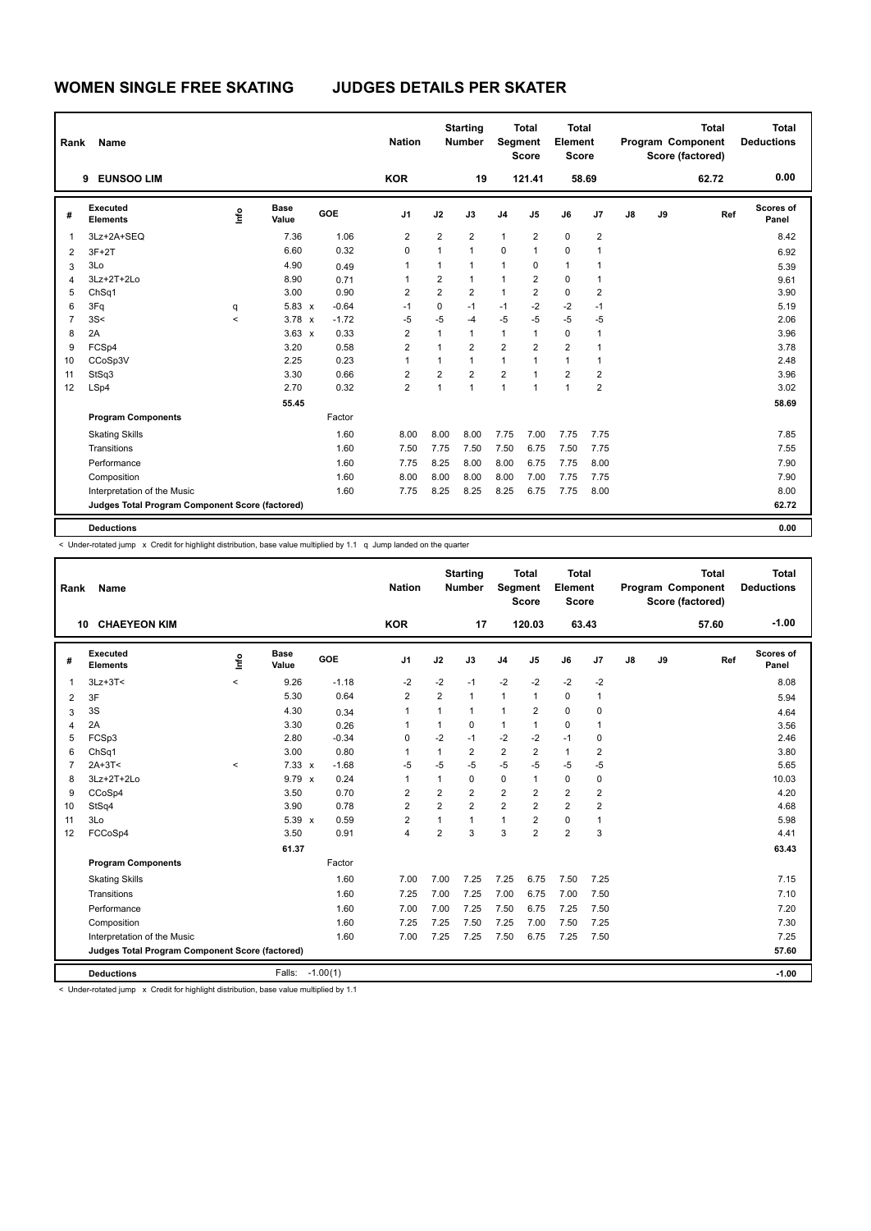| Rank           | Name                                            |         |                      |         | <b>Nation</b>           |                | <b>Starting</b><br><b>Number</b> | Segment                 | <b>Total</b><br><b>Score</b> | <b>Total</b><br>Element<br><b>Score</b> |                         |               |    | <b>Total</b><br>Program Component<br>Score (factored) | <b>Total</b><br><b>Deductions</b> |
|----------------|-------------------------------------------------|---------|----------------------|---------|-------------------------|----------------|----------------------------------|-------------------------|------------------------------|-----------------------------------------|-------------------------|---------------|----|-------------------------------------------------------|-----------------------------------|
|                | <b>EUNSOO LIM</b><br>9                          |         |                      |         | <b>KOR</b>              |                | 19                               |                         | 121.41                       |                                         | 58.69                   |               |    | 62.72                                                 | 0.00                              |
| #              | Executed<br><b>Elements</b>                     | ١nf٥    | <b>Base</b><br>Value | GOE     | J <sub>1</sub>          | J2             | J3                               | J <sub>4</sub>          | J <sub>5</sub>               | J6                                      | J7                      | $\mathsf{J}8$ | J9 | Ref                                                   | <b>Scores of</b><br>Panel         |
| $\mathbf{1}$   | 3Lz+2A+SEQ                                      |         | 7.36                 | 1.06    | $\overline{\mathbf{c}}$ | $\overline{2}$ | $\overline{2}$                   | 1                       | $\overline{\mathbf{c}}$      | 0                                       | $\overline{\mathbf{c}}$ |               |    |                                                       | 8.42                              |
| 2              | $3F+2T$                                         |         | 6.60                 | 0.32    | $\mathbf 0$             | $\mathbf{1}$   | $\mathbf{1}$                     | $\mathbf 0$             | $\mathbf{1}$                 | $\mathbf 0$                             | 1                       |               |    |                                                       | 6.92                              |
| 3              | 3Lo                                             |         | 4.90                 | 0.49    | 1                       | $\mathbf{1}$   | $\mathbf{1}$                     | $\mathbf{1}$            | 0                            | $\mathbf{1}$                            | 1                       |               |    |                                                       | 5.39                              |
| $\overline{4}$ | 3Lz+2T+2Lo                                      |         | 8.90                 | 0.71    | 1                       | 2              | $\mathbf{1}$                     | 1                       | 2                            | 0                                       | 1                       |               |    |                                                       | 9.61                              |
| 5              | ChSq1                                           |         | 3.00                 | 0.90    | 2                       | $\overline{2}$ | $\overline{2}$                   | 1                       | 2                            | 0                                       | 2                       |               |    |                                                       | 3.90                              |
| 6              | 3Fq                                             | q       | $5.83 \times$        | $-0.64$ | $-1$                    | 0              | $-1$                             | $-1$                    | $-2$                         | $-2$                                    | $-1$                    |               |    |                                                       | 5.19                              |
| $\overline{7}$ | 3S<                                             | $\prec$ | $3.78 \times$        | $-1.72$ | $-5$                    | $-5$           | $-4$                             | $-5$                    | $-5$                         | $-5$                                    | $-5$                    |               |    |                                                       | 2.06                              |
| 8              | 2A                                              |         | $3.63 \times$        | 0.33    | $\overline{2}$          | 1              | $\mathbf{1}$                     | $\mathbf{1}$            | 1                            | 0                                       | 1                       |               |    |                                                       | 3.96                              |
| 9              | FCSp4                                           |         | 3.20                 | 0.58    | 2                       | 1              | $\overline{2}$                   | $\overline{\mathbf{c}}$ | 2                            | $\overline{2}$                          | $\mathbf 1$             |               |    |                                                       | 3.78                              |
| 10             | CCoSp3V                                         |         | 2.25                 | 0.23    | 1                       | $\mathbf{1}$   | $\mathbf{1}$                     | 1                       | 1                            | $\mathbf{1}$                            | 1                       |               |    |                                                       | 2.48                              |
| 11             | StSq3                                           |         | 3.30                 | 0.66    | $\overline{\mathbf{c}}$ | $\overline{2}$ | $\overline{2}$                   | $\overline{2}$          | 1                            | $\overline{2}$                          | $\overline{2}$          |               |    |                                                       | 3.96                              |
| 12             | LSp4                                            |         | 2.70                 | 0.32    | $\overline{2}$          | 1              | $\mathbf{1}$                     | $\overline{1}$          | 1                            | $\overline{1}$                          | $\overline{2}$          |               |    |                                                       | 3.02                              |
|                |                                                 |         | 55.45                |         |                         |                |                                  |                         |                              |                                         |                         |               |    |                                                       | 58.69                             |
|                | <b>Program Components</b>                       |         |                      | Factor  |                         |                |                                  |                         |                              |                                         |                         |               |    |                                                       |                                   |
|                | <b>Skating Skills</b>                           |         |                      | 1.60    | 8.00                    | 8.00           | 8.00                             | 7.75                    | 7.00                         | 7.75                                    | 7.75                    |               |    |                                                       | 7.85                              |
|                | Transitions                                     |         |                      | 1.60    | 7.50                    | 7.75           | 7.50                             | 7.50                    | 6.75                         | 7.50                                    | 7.75                    |               |    |                                                       | 7.55                              |
|                | Performance                                     |         |                      | 1.60    | 7.75                    | 8.25           | 8.00                             | 8.00                    | 6.75                         | 7.75                                    | 8.00                    |               |    |                                                       | 7.90                              |
|                | Composition                                     |         |                      | 1.60    | 8.00                    | 8.00           | 8.00                             | 8.00                    | 7.00                         | 7.75                                    | 7.75                    |               |    |                                                       | 7.90                              |
|                | Interpretation of the Music                     |         |                      | 1.60    | 7.75                    | 8.25           | 8.25                             | 8.25                    | 6.75                         | 7.75                                    | 8.00                    |               |    |                                                       | 8.00                              |
|                | Judges Total Program Component Score (factored) |         |                      |         |                         |                |                                  |                         |                              |                                         |                         |               |    |                                                       | 62.72                             |
|                | <b>Deductions</b>                               |         |                      |         |                         |                |                                  |                         |                              |                                         |                         |               |    |                                                       | 0.00                              |

< Under-rotated jump x Credit for highlight distribution, base value multiplied by 1.1 q Jump landed on the quarter

| Rank           | Name                                            |                          |                      |            | <b>Nation</b>  |                | <b>Starting</b><br><b>Number</b> | Segment        | <b>Total</b><br><b>Score</b> | Total<br>Element<br><b>Score</b> |                |               |    | <b>Total</b><br>Program Component<br>Score (factored) | <b>Total</b><br><b>Deductions</b> |
|----------------|-------------------------------------------------|--------------------------|----------------------|------------|----------------|----------------|----------------------------------|----------------|------------------------------|----------------------------------|----------------|---------------|----|-------------------------------------------------------|-----------------------------------|
|                | <b>10 CHAEYEON KIM</b>                          |                          |                      |            | <b>KOR</b>     |                | 17                               |                | 120.03                       | 63.43                            |                |               |    | 57.60                                                 | $-1.00$                           |
| #              | <b>Executed</b><br><b>Elements</b>              | lnfo                     | <b>Base</b><br>Value | <b>GOE</b> | J <sub>1</sub> | J2             | J3                               | J4             | J5                           | J6                               | J7             | $\mathsf{J}8$ | J9 | Ref                                                   | <b>Scores of</b><br>Panel         |
| 1              | $3Lz + 3T <$                                    | $\overline{\phantom{a}}$ | 9.26                 | $-1.18$    | $-2$           | $-2$           | $-1$                             | $-2$           | $-2$                         | $-2$                             | $-2$           |               |    |                                                       | 8.08                              |
| 2              | 3F                                              |                          | 5.30                 | 0.64       | $\overline{2}$ | $\overline{2}$ | 1                                | $\mathbf{1}$   | 1                            | $\mathbf 0$                      | $\mathbf{1}$   |               |    |                                                       | 5.94                              |
| 3              | 3S                                              |                          | 4.30                 | 0.34       | 1              | 1              | 1                                | $\mathbf{1}$   | 2                            | $\mathbf 0$                      | $\mathbf 0$    |               |    |                                                       | 4.64                              |
| 4              | 2A                                              |                          | 3.30                 | 0.26       | 1              | 1              | 0                                | $\mathbf{1}$   | 1                            | $\mathbf 0$                      | $\mathbf 1$    |               |    |                                                       | 3.56                              |
| 5              | FCSp3                                           |                          | 2.80                 | $-0.34$    | $\mathbf 0$    | $-2$           | $-1$                             | $-2$           | $-2$                         | $-1$                             | $\mathbf 0$    |               |    |                                                       | 2.46                              |
| 6              | ChSq1                                           |                          | 3.00                 | 0.80       | 1              | $\mathbf{1}$   | $\overline{2}$                   | $\overline{2}$ | $\overline{2}$               | $\mathbf{1}$                     | $\overline{2}$ |               |    |                                                       | 3.80                              |
| $\overline{7}$ | $2A+3T<$                                        | $\,<$                    | $7.33 \times$        | $-1.68$    | $-5$           | $-5$           | $-5$                             | $-5$           | $-5$                         | $-5$                             | $-5$           |               |    |                                                       | 5.65                              |
| 8              | 3Lz+2T+2Lo                                      |                          | $9.79 \times$        | 0.24       | 1              | $\mathbf{1}$   | 0                                | 0              | 1                            | 0                                | $\mathbf 0$    |               |    |                                                       | 10.03                             |
| 9              | CCoSp4                                          |                          | 3.50                 | 0.70       | $\overline{2}$ | $\overline{2}$ | $\overline{2}$                   | $\overline{2}$ | 2                            | $\overline{2}$                   | $\overline{2}$ |               |    |                                                       | 4.20                              |
| 10             | StSq4                                           |                          | 3.90                 | 0.78       | $\overline{2}$ | $\overline{2}$ | $\overline{2}$                   | $\overline{2}$ | $\overline{2}$               | $\overline{2}$                   | $\overline{2}$ |               |    |                                                       | 4.68                              |
| 11             | 3Lo                                             |                          | $5.39 \times$        | 0.59       | $\overline{2}$ | 1              | 1                                | $\mathbf{1}$   | 2                            | 0                                | $\mathbf{1}$   |               |    |                                                       | 5.98                              |
| 12             | FCCoSp4                                         |                          | 3.50                 | 0.91       | $\overline{4}$ | $\overline{2}$ | 3                                | 3              | $\mathfrak{p}$               | $\overline{2}$                   | 3              |               |    |                                                       | 4.41                              |
|                |                                                 |                          | 61.37                |            |                |                |                                  |                |                              |                                  |                |               |    |                                                       | 63.43                             |
|                | <b>Program Components</b>                       |                          |                      | Factor     |                |                |                                  |                |                              |                                  |                |               |    |                                                       |                                   |
|                | <b>Skating Skills</b>                           |                          |                      | 1.60       | 7.00           | 7.00           | 7.25                             | 7.25           | 6.75                         | 7.50                             | 7.25           |               |    |                                                       | 7.15                              |
|                | Transitions                                     |                          |                      | 1.60       | 7.25           | 7.00           | 7.25                             | 7.00           | 6.75                         | 7.00                             | 7.50           |               |    |                                                       | 7.10                              |
|                | Performance                                     |                          |                      | 1.60       | 7.00           | 7.00           | 7.25                             | 7.50           | 6.75                         | 7.25                             | 7.50           |               |    |                                                       | 7.20                              |
|                | Composition                                     |                          |                      | 1.60       | 7.25           | 7.25           | 7.50                             | 7.25           | 7.00                         | 7.50                             | 7.25           |               |    |                                                       | 7.30                              |
|                | Interpretation of the Music                     |                          |                      | 1.60       | 7.00           | 7.25           | 7.25                             | 7.50           | 6.75                         | 7.25                             | 7.50           |               |    |                                                       | 7.25                              |
|                | Judges Total Program Component Score (factored) |                          |                      |            |                |                |                                  |                |                              |                                  |                |               |    |                                                       | 57.60                             |
|                | <b>Deductions</b>                               |                          | Falls:               | $-1.00(1)$ |                |                |                                  |                |                              |                                  |                |               |    |                                                       | $-1.00$                           |

< Under-rotated jump x Credit for highlight distribution, base value multiplied by 1.1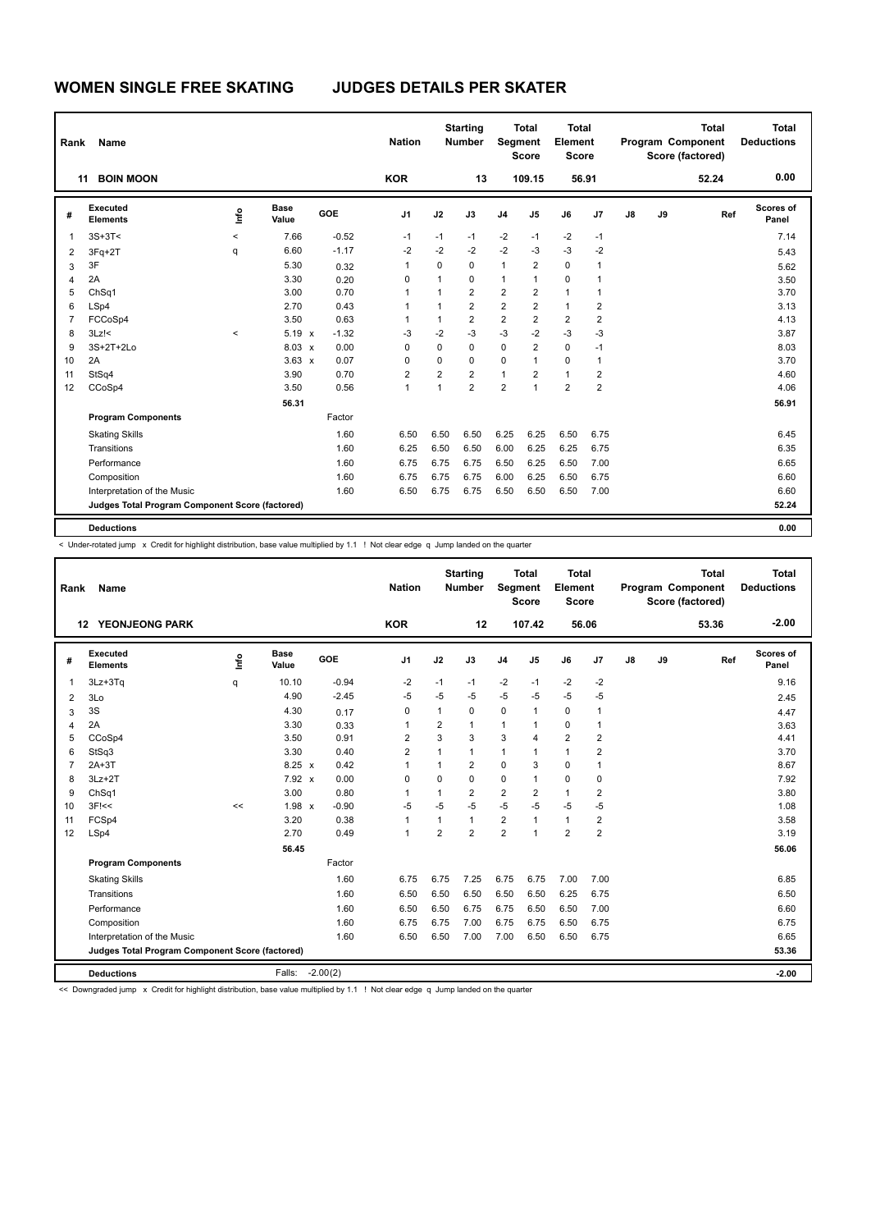| Rank | Name                                            |         |                      |         | <b>Nation</b>  |                | <b>Starting</b><br><b>Number</b> | Segment        | <b>Total</b><br><b>Score</b> | <b>Total</b><br>Element<br><b>Score</b> |                |               |    | <b>Total</b><br>Program Component<br>Score (factored) | <b>Total</b><br><b>Deductions</b> |
|------|-------------------------------------------------|---------|----------------------|---------|----------------|----------------|----------------------------------|----------------|------------------------------|-----------------------------------------|----------------|---------------|----|-------------------------------------------------------|-----------------------------------|
| 11   | <b>BOIN MOON</b>                                |         |                      |         | <b>KOR</b>     |                | 13                               |                | 109.15                       | 56.91                                   |                |               |    | 52.24                                                 | 0.00                              |
| #    | Executed<br><b>Elements</b>                     | ١nf٥    | <b>Base</b><br>Value | GOE     | J <sub>1</sub> | J2             | J3                               | J <sub>4</sub> | J5                           | J6                                      | J <sub>7</sub> | $\mathsf{J}8$ | J9 | Ref                                                   | <b>Scores of</b><br>Panel         |
| 1    | $3S+3T<$                                        | $\,<$   | 7.66                 | $-0.52$ | $-1$           | $-1$           | $-1$                             | $-2$           | $-1$                         | $-2$                                    | $-1$           |               |    |                                                       | 7.14                              |
| 2    | $3Fq+2T$                                        | q       | 6.60                 | $-1.17$ | $-2$           | $-2$           | $-2$                             | $-2$           | $-3$                         | $-3$                                    | $-2$           |               |    |                                                       | 5.43                              |
| 3    | 3F                                              |         | 5.30                 | 0.32    | $\mathbf{1}$   | 0              | 0                                | $\mathbf{1}$   | $\overline{\mathbf{c}}$      | $\mathbf 0$                             | 1              |               |    |                                                       | 5.62                              |
| 4    | 2A                                              |         | 3.30                 | 0.20    | $\Omega$       | 1              | $\Omega$                         | 1              | 1                            | 0                                       | 1              |               |    |                                                       | 3.50                              |
| 5    | ChSq1                                           |         | 3.00                 | 0.70    | 1              | $\mathbf{1}$   | $\overline{2}$                   | $\overline{2}$ | 2                            | $\mathbf{1}$                            | 1              |               |    |                                                       | 3.70                              |
| 6    | LSp4                                            |         | 2.70                 | 0.43    | 1              | 1              | $\overline{2}$                   | $\overline{2}$ | $\overline{2}$               | $\mathbf{1}$                            | $\overline{2}$ |               |    |                                                       | 3.13                              |
| 7    | FCCoSp4                                         |         | 3.50                 | 0.63    | 1              | 1              | $\overline{2}$                   | $\overline{2}$ | $\overline{2}$               | $\overline{2}$                          | $\overline{2}$ |               |    |                                                       | 4.13                              |
| 8    | $3Lz$ !<                                        | $\prec$ | $5.19 \times$        | $-1.32$ | $-3$           | $-2$           | $-3$                             | $-3$           | $-2$                         | $-3$                                    | $-3$           |               |    |                                                       | 3.87                              |
| 9    | 3S+2T+2Lo                                       |         | $8.03 \times$        | 0.00    | 0              | 0              | $\mathbf 0$                      | 0              | $\overline{2}$               | $\mathbf 0$                             | $-1$           |               |    |                                                       | 8.03                              |
| 10   | 2A                                              |         | $3.63 \times$        | 0.07    | $\Omega$       | 0              | $\mathbf 0$                      | 0              | 1                            | $\mathbf 0$                             | 1              |               |    |                                                       | 3.70                              |
| 11   | StSq4                                           |         | 3.90                 | 0.70    | 2              | $\overline{2}$ | $\overline{2}$                   | 1              | 2                            | $\mathbf{1}$                            | 2              |               |    |                                                       | 4.60                              |
| 12   | CCoSp4                                          |         | 3.50                 | 0.56    | 1              | 1              | $\overline{2}$                   | $\overline{2}$ | 1                            | $\overline{2}$                          | $\overline{2}$ |               |    |                                                       | 4.06                              |
|      |                                                 |         | 56.31                |         |                |                |                                  |                |                              |                                         |                |               |    |                                                       | 56.91                             |
|      | <b>Program Components</b>                       |         |                      | Factor  |                |                |                                  |                |                              |                                         |                |               |    |                                                       |                                   |
|      | <b>Skating Skills</b>                           |         |                      | 1.60    | 6.50           | 6.50           | 6.50                             | 6.25           | 6.25                         | 6.50                                    | 6.75           |               |    |                                                       | 6.45                              |
|      | Transitions                                     |         |                      | 1.60    | 6.25           | 6.50           | 6.50                             | 6.00           | 6.25                         | 6.25                                    | 6.75           |               |    |                                                       | 6.35                              |
|      | Performance                                     |         |                      | 1.60    | 6.75           | 6.75           | 6.75                             | 6.50           | 6.25                         | 6.50                                    | 7.00           |               |    |                                                       | 6.65                              |
|      | Composition                                     |         |                      | 1.60    | 6.75           | 6.75           | 6.75                             | 6.00           | 6.25                         | 6.50                                    | 6.75           |               |    |                                                       | 6.60                              |
|      | Interpretation of the Music                     |         |                      | 1.60    | 6.50           | 6.75           | 6.75                             | 6.50           | 6.50                         | 6.50                                    | 7.00           |               |    |                                                       | 6.60                              |
|      | Judges Total Program Component Score (factored) |         |                      |         |                |                |                                  |                |                              |                                         |                |               |    |                                                       | 52.24                             |
|      | <b>Deductions</b>                               |         |                      |         |                |                |                                  |                |                              |                                         |                |               |    |                                                       | 0.00                              |

< Under-rotated jump x Credit for highlight distribution, base value multiplied by 1.1 ! Not clear edge q Jump landed on the quarter

| Rank           | Name                                            |      |                      |            | <b>Nation</b>  |                | <b>Starting</b><br><b>Number</b> | Segment        | <b>Total</b><br><b>Score</b> | <b>Total</b><br>Element<br><b>Score</b> |                |    |    | <b>Total</b><br>Program Component<br>Score (factored) | <b>Total</b><br><b>Deductions</b> |
|----------------|-------------------------------------------------|------|----------------------|------------|----------------|----------------|----------------------------------|----------------|------------------------------|-----------------------------------------|----------------|----|----|-------------------------------------------------------|-----------------------------------|
|                | <b>12 YEONJEONG PARK</b>                        |      |                      |            | <b>KOR</b>     |                | 12                               |                | 107.42                       |                                         | 56.06          |    |    | 53.36                                                 | $-2.00$                           |
| #              | <b>Executed</b><br><b>Elements</b>              | ١nfo | <b>Base</b><br>Value | GOE        | J <sub>1</sub> | J2             | J3                               | J <sub>4</sub> | J <sub>5</sub>               | J6                                      | J7             | J8 | J9 | Ref                                                   | Scores of<br>Panel                |
| $\mathbf{1}$   | 3Lz+3Tq                                         | q    | 10.10                | $-0.94$    | -2             | $-1$           | $-1$                             | -2             | $-1$                         | $-2$                                    | $-2$           |    |    |                                                       | 9.16                              |
| $\overline{2}$ | 3Lo                                             |      | 4.90                 | $-2.45$    | $-5$           | $-5$           | $-5$                             | $-5$           | $-5$                         | $-5$                                    | $-5$           |    |    |                                                       | 2.45                              |
| 3              | 3S                                              |      | 4.30                 | 0.17       | 0              | 1              | 0                                | 0              | 1                            | 0                                       | 1              |    |    |                                                       | 4.47                              |
| 4              | 2A                                              |      | 3.30                 | 0.33       | 1              | $\overline{2}$ | $\mathbf{1}$                     | $\mathbf{1}$   | 1                            | 0                                       | 1              |    |    |                                                       | 3.63                              |
| 5              | CCoSp4                                          |      | 3.50                 | 0.91       | $\overline{2}$ | 3              | 3                                | 3              | 4                            | $\overline{2}$                          | $\overline{2}$ |    |    |                                                       | 4.41                              |
| 6              | StSq3                                           |      | 3.30                 | 0.40       | $\overline{2}$ | 1              | 1                                | 1              | 1                            | $\mathbf{1}$                            | $\overline{2}$ |    |    |                                                       | 3.70                              |
| $\overline{7}$ | $2A+3T$                                         |      | $8.25 \times$        | 0.42       | $\mathbf{1}$   | 1              | $\overline{2}$                   | $\mathbf 0$    | 3                            | $\mathbf 0$                             | 1              |    |    |                                                       | 8.67                              |
| 8              | $3Lz + 2T$                                      |      | $7.92 \times$        | 0.00       | 0              | $\Omega$       | $\Omega$                         | $\mathbf 0$    | 1                            | $\mathbf 0$                             | 0              |    |    |                                                       | 7.92                              |
| 9              | ChSq1                                           |      | 3.00                 | 0.80       | $\mathbf{1}$   | 1              | 2                                | $\overline{2}$ | $\overline{2}$               | $\mathbf{1}$                            | $\overline{2}$ |    |    |                                                       | 3.80                              |
| 10             | $3F$ $<<$                                       | <<   | $1.98 \times$        | $-0.90$    | $-5$           | $-5$           | $-5$                             | $-5$           | $-5$                         | $-5$                                    | $-5$           |    |    |                                                       | 1.08                              |
| 11             | FCSp4                                           |      | 3.20                 | 0.38       | $\mathbf{1}$   | 1              | 1                                | 2              | 1                            | $\mathbf{1}$                            | $\overline{2}$ |    |    |                                                       | 3.58                              |
| 12             | LSp4                                            |      | 2.70                 | 0.49       | $\mathbf{1}$   | $\overline{2}$ | $\overline{2}$                   | $\overline{2}$ | 1                            | $\overline{2}$                          | $\overline{2}$ |    |    |                                                       | 3.19                              |
|                |                                                 |      | 56.45                |            |                |                |                                  |                |                              |                                         |                |    |    |                                                       | 56.06                             |
|                | <b>Program Components</b>                       |      |                      | Factor     |                |                |                                  |                |                              |                                         |                |    |    |                                                       |                                   |
|                | <b>Skating Skills</b>                           |      |                      | 1.60       | 6.75           | 6.75           | 7.25                             | 6.75           | 6.75                         | 7.00                                    | 7.00           |    |    |                                                       | 6.85                              |
|                | Transitions                                     |      |                      | 1.60       | 6.50           | 6.50           | 6.50                             | 6.50           | 6.50                         | 6.25                                    | 6.75           |    |    |                                                       | 6.50                              |
|                | Performance                                     |      |                      | 1.60       | 6.50           | 6.50           | 6.75                             | 6.75           | 6.50                         | 6.50                                    | 7.00           |    |    |                                                       | 6.60                              |
|                | Composition                                     |      |                      | 1.60       | 6.75           | 6.75           | 7.00                             | 6.75           | 6.75                         | 6.50                                    | 6.75           |    |    |                                                       | 6.75                              |
|                | Interpretation of the Music                     |      |                      | 1.60       | 6.50           | 6.50           | 7.00                             | 7.00           | 6.50                         | 6.50                                    | 6.75           |    |    |                                                       | 6.65                              |
|                | Judges Total Program Component Score (factored) |      |                      |            |                |                |                                  |                |                              |                                         |                |    |    |                                                       | 53.36                             |
|                | <b>Deductions</b>                               |      | Falls:               | $-2.00(2)$ |                |                |                                  |                |                              |                                         |                |    |    |                                                       | $-2.00$                           |
|                |                                                 |      |                      |            |                |                |                                  |                |                              |                                         |                |    |    |                                                       |                                   |

<< Downgraded jump x Credit for highlight distribution, base value multiplied by 1.1 ! Not clear edge q Jump landed on the quarter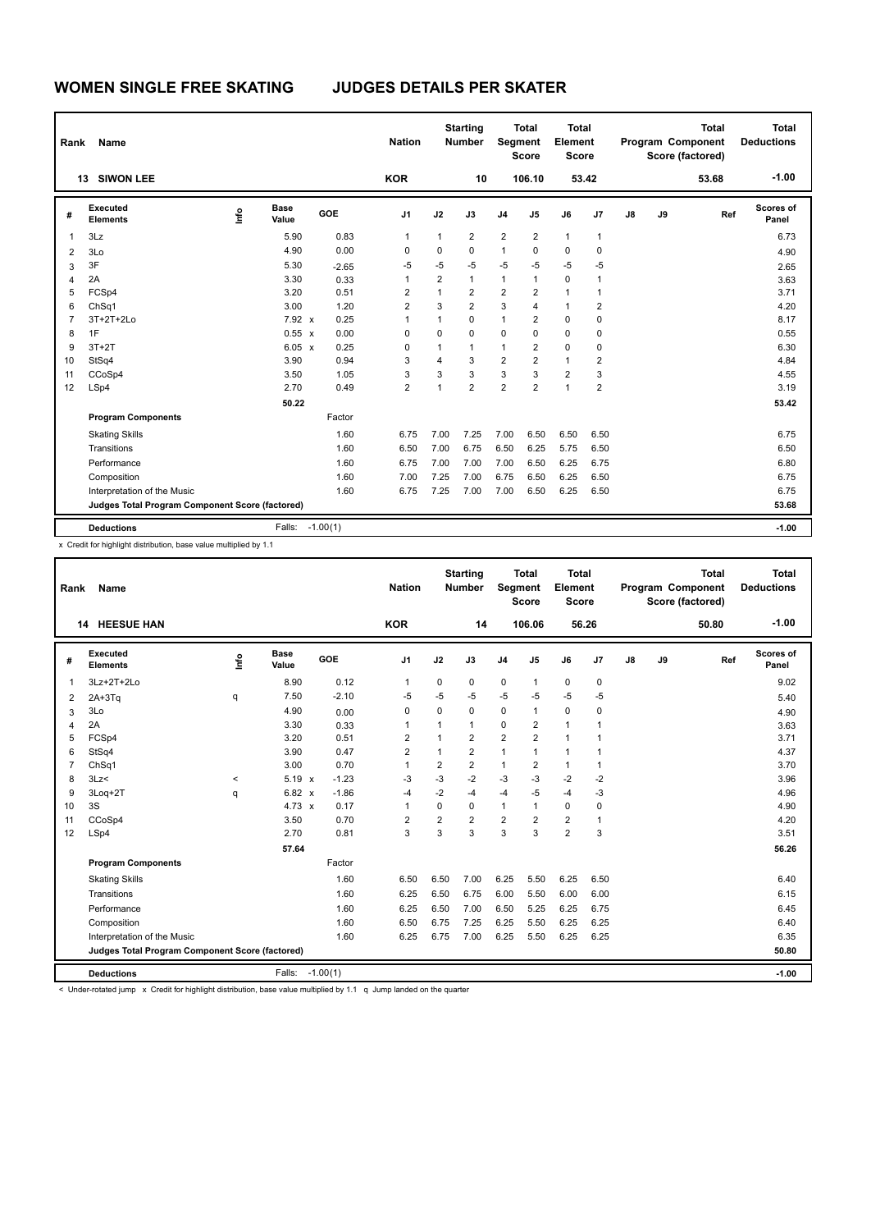| Rank           | <b>Name</b>                                     |      |                      |            | <b>Nation</b>  |                | <b>Starting</b><br><b>Number</b> | Segment                 | <b>Total</b><br><b>Score</b> | <b>Total</b><br>Element<br><b>Score</b> |                |    |    | <b>Total</b><br>Program Component<br>Score (factored) | <b>Total</b><br><b>Deductions</b> |
|----------------|-------------------------------------------------|------|----------------------|------------|----------------|----------------|----------------------------------|-------------------------|------------------------------|-----------------------------------------|----------------|----|----|-------------------------------------------------------|-----------------------------------|
|                | <b>SIWON LEE</b><br>13                          |      |                      |            | <b>KOR</b>     |                | 10                               |                         | 106.10                       |                                         | 53.42          |    |    | 53.68                                                 | $-1.00$                           |
| #              | Executed<br><b>Elements</b>                     | Life | <b>Base</b><br>Value | GOE        | J <sub>1</sub> | J2             | J3                               | J <sub>4</sub>          | J <sub>5</sub>               | J6                                      | J7             | J8 | J9 | Ref                                                   | Scores of<br>Panel                |
| $\mathbf 1$    | 3Lz                                             |      | 5.90                 | 0.83       | 1              | $\mathbf{1}$   | 2                                | $\overline{2}$          | $\overline{2}$               | $\mathbf{1}$                            | $\mathbf{1}$   |    |    |                                                       | 6.73                              |
| $\overline{2}$ | 3Lo                                             |      | 4.90                 | 0.00       | 0              | 0              | $\mathbf 0$                      | $\mathbf{1}$            | 0                            | $\mathbf 0$                             | $\mathbf 0$    |    |    |                                                       | 4.90                              |
| 3              | 3F                                              |      | 5.30                 | $-2.65$    | $-5$           | $-5$           | $-5$                             | $-5$                    | $-5$                         | $-5$                                    | $-5$           |    |    |                                                       | 2.65                              |
| $\overline{4}$ | 2A                                              |      | 3.30                 | 0.33       | 1              | $\overline{2}$ | $\mathbf{1}$                     | $\mathbf{1}$            | $\mathbf{1}$                 | $\mathbf 0$                             | 1              |    |    |                                                       | 3.63                              |
| 5              | FCSp4                                           |      | 3.20                 | 0.51       | $\overline{2}$ | $\mathbf{1}$   | $\overline{2}$                   | $\overline{2}$          | $\overline{2}$               | $\mathbf{1}$                            | $\mathbf{1}$   |    |    |                                                       | 3.71                              |
| 6              | ChSq1                                           |      | 3.00                 | 1.20       | $\overline{2}$ | 3              | $\overline{2}$                   | 3                       | 4                            | $\mathbf{1}$                            | $\overline{2}$ |    |    |                                                       | 4.20                              |
| $\overline{7}$ | 3T+2T+2Lo                                       |      | 7.92 x               | 0.25       | 1              | 1              | $\mathbf 0$                      | 1                       | $\overline{2}$               | $\mathbf 0$                             | $\mathbf 0$    |    |    |                                                       | 8.17                              |
| 8              | 1F                                              |      | $0.55 \times$        | 0.00       | $\Omega$       | $\Omega$       | $\Omega$                         | 0                       | $\Omega$                     | $\Omega$                                | 0              |    |    |                                                       | 0.55                              |
| 9              | $3T+2T$                                         |      | $6.05 \times$        | 0.25       | 0              | 1              | $\mathbf{1}$                     | 1                       | $\overline{2}$               | $\mathbf 0$                             | 0              |    |    |                                                       | 6.30                              |
| 10             | StSq4                                           |      | 3.90                 | 0.94       | 3              | 4              | 3                                | $\overline{2}$          | $\overline{2}$               | $\mathbf{1}$                            | 2              |    |    |                                                       | 4.84                              |
| 11             | CCoSp4                                          |      | 3.50                 | 1.05       | 3              | 3              | 3                                | 3                       | 3                            | $\overline{2}$                          | 3              |    |    |                                                       | 4.55                              |
| 12             | LSp4                                            |      | 2.70                 | 0.49       | 2              | 1              | $\overline{2}$                   | $\overline{\mathbf{c}}$ | 2                            | $\mathbf{1}$                            | $\overline{2}$ |    |    |                                                       | 3.19                              |
|                |                                                 |      | 50.22                |            |                |                |                                  |                         |                              |                                         |                |    |    |                                                       | 53.42                             |
|                | <b>Program Components</b>                       |      |                      | Factor     |                |                |                                  |                         |                              |                                         |                |    |    |                                                       |                                   |
|                | <b>Skating Skills</b>                           |      |                      | 1.60       | 6.75           | 7.00           | 7.25                             | 7.00                    | 6.50                         | 6.50                                    | 6.50           |    |    |                                                       | 6.75                              |
|                | Transitions                                     |      |                      | 1.60       | 6.50           | 7.00           | 6.75                             | 6.50                    | 6.25                         | 5.75                                    | 6.50           |    |    |                                                       | 6.50                              |
|                | Performance                                     |      |                      | 1.60       | 6.75           | 7.00           | 7.00                             | 7.00                    | 6.50                         | 6.25                                    | 6.75           |    |    |                                                       | 6.80                              |
|                | Composition                                     |      |                      | 1.60       | 7.00           | 7.25           | 7.00                             | 6.75                    | 6.50                         | 6.25                                    | 6.50           |    |    |                                                       | 6.75                              |
|                | Interpretation of the Music                     |      |                      | 1.60       | 6.75           | 7.25           | 7.00                             | 7.00                    | 6.50                         | 6.25                                    | 6.50           |    |    |                                                       | 6.75                              |
|                | Judges Total Program Component Score (factored) |      |                      |            |                |                |                                  |                         |                              |                                         |                |    |    |                                                       | 53.68                             |
|                | <b>Deductions</b>                               |      | Falls:               | $-1.00(1)$ |                |                |                                  |                         |                              |                                         |                |    |    |                                                       | $-1.00$                           |

| Rank           | Name                                            |                                  |                      |            | <b>Nation</b>  |                         | <b>Starting</b><br><b>Number</b> | Segment        | <b>Total</b><br><b>Score</b> | <b>Total</b><br>Element<br><b>Score</b> |              |               |    | <b>Total</b><br><b>Program Component</b><br>Score (factored) | <b>Total</b><br><b>Deductions</b> |
|----------------|-------------------------------------------------|----------------------------------|----------------------|------------|----------------|-------------------------|----------------------------------|----------------|------------------------------|-----------------------------------------|--------------|---------------|----|--------------------------------------------------------------|-----------------------------------|
|                | <b>14 HEESUE HAN</b>                            |                                  |                      |            | <b>KOR</b>     |                         | 14                               |                | 106.06                       |                                         | 56.26        |               |    | 50.80                                                        | $-1.00$                           |
| #              | Executed<br><b>Elements</b>                     | $\mathop{\mathsf{Int}}\nolimits$ | <b>Base</b><br>Value | GOE        | J <sub>1</sub> | J2                      | J3                               | J <sub>4</sub> | J5                           | J6                                      | J7           | $\mathsf{J}8$ | J9 | Ref                                                          | Scores of<br>Panel                |
| 1              | 3Lz+2T+2Lo                                      |                                  | 8.90                 | 0.12       | $\mathbf{1}$   | 0                       | 0                                | $\mathbf 0$    | 1                            | $\mathbf 0$                             | $\pmb{0}$    |               |    |                                                              | 9.02                              |
| 2              | $2A+3Tq$                                        | q                                | 7.50                 | $-2.10$    | $-5$           | $-5$                    | $-5$                             | $-5$           | $-5$                         | $-5$                                    | $-5$         |               |    |                                                              | 5.40                              |
| 3              | 3Lo                                             |                                  | 4.90                 | 0.00       | $\mathbf 0$    | $\Omega$                | $\Omega$                         | $\mathbf 0$    | 1                            | $\mathbf 0$                             | 0            |               |    |                                                              | 4.90                              |
| 4              | 2A                                              |                                  | 3.30                 | 0.33       | 1              | 1                       | $\mathbf{1}$                     | 0              | 2                            | $\mathbf{1}$                            | $\mathbf{1}$ |               |    |                                                              | 3.63                              |
| 5              | FCSp4                                           |                                  | 3.20                 | 0.51       | $\overline{2}$ | $\mathbf{1}$            | $\overline{2}$                   | $\overline{2}$ | $\overline{2}$               | $\mathbf{1}$                            | $\mathbf{1}$ |               |    |                                                              | 3.71                              |
| 6              | StSq4                                           |                                  | 3.90                 | 0.47       | $\overline{2}$ | $\mathbf{1}$            | $\overline{2}$                   | $\mathbf{1}$   | 1                            | $\mathbf{1}$                            | $\mathbf{1}$ |               |    |                                                              | 4.37                              |
| $\overline{7}$ | ChSq1                                           |                                  | 3.00                 | 0.70       | 1              | $\overline{\mathbf{c}}$ | 2                                | $\mathbf{1}$   | $\overline{\mathbf{c}}$      | $\mathbf{1}$                            | $\mathbf{1}$ |               |    |                                                              | 3.70                              |
| 8              | 3Lz<                                            | $\hat{}$                         | $5.19 \times$        | $-1.23$    | $-3$           | $-3$                    | $-2$                             | $-3$           | $-3$                         | $-2$                                    | $-2$         |               |    |                                                              | 3.96                              |
| 9              | 3Loq+2T                                         | q                                | 6.82 x               | $-1.86$    | $-4$           | $-2$                    | $-4$                             | $-4$           | $-5$                         | $-4$                                    | $-3$         |               |    |                                                              | 4.96                              |
| 10             | 3S                                              |                                  | $4.73 \times$        | 0.17       | $\mathbf{1}$   | $\Omega$                | 0                                | $\mathbf{1}$   | 1                            | 0                                       | $\mathbf 0$  |               |    |                                                              | 4.90                              |
| 11             | CCoSp4                                          |                                  | 3.50                 | 0.70       | $\overline{2}$ | $\overline{2}$          | $\overline{2}$                   | $\overline{2}$ | $\overline{2}$               | $\overline{2}$                          | $\mathbf{1}$ |               |    |                                                              | 4.20                              |
| 12             | LSp4                                            |                                  | 2.70                 | 0.81       | 3              | 3                       | 3                                | 3              | 3                            | $\overline{2}$                          | 3            |               |    |                                                              | 3.51                              |
|                |                                                 |                                  | 57.64                |            |                |                         |                                  |                |                              |                                         |              |               |    |                                                              | 56.26                             |
|                | <b>Program Components</b>                       |                                  |                      | Factor     |                |                         |                                  |                |                              |                                         |              |               |    |                                                              |                                   |
|                | <b>Skating Skills</b>                           |                                  |                      | 1.60       | 6.50           | 6.50                    | 7.00                             | 6.25           | 5.50                         | 6.25                                    | 6.50         |               |    |                                                              | 6.40                              |
|                | Transitions                                     |                                  |                      | 1.60       | 6.25           | 6.50                    | 6.75                             | 6.00           | 5.50                         | 6.00                                    | 6.00         |               |    |                                                              | 6.15                              |
|                | Performance                                     |                                  |                      | 1.60       | 6.25           | 6.50                    | 7.00                             | 6.50           | 5.25                         | 6.25                                    | 6.75         |               |    |                                                              | 6.45                              |
|                | Composition                                     |                                  |                      | 1.60       | 6.50           | 6.75                    | 7.25                             | 6.25           | 5.50                         | 6.25                                    | 6.25         |               |    |                                                              | 6.40                              |
|                | Interpretation of the Music                     |                                  |                      | 1.60       | 6.25           | 6.75                    | 7.00                             | 6.25           | 5.50                         | 6.25                                    | 6.25         |               |    |                                                              | 6.35                              |
|                | Judges Total Program Component Score (factored) |                                  |                      |            |                |                         |                                  |                |                              |                                         |              |               |    |                                                              | 50.80                             |
|                | <b>Deductions</b>                               |                                  | Falls:               | $-1.00(1)$ |                |                         |                                  |                |                              |                                         |              |               |    |                                                              | $-1.00$                           |

-<br>< Under-rotated jump x Credit for highlight distribution, base value multiplied by 1.1 q Jump landed on the quarter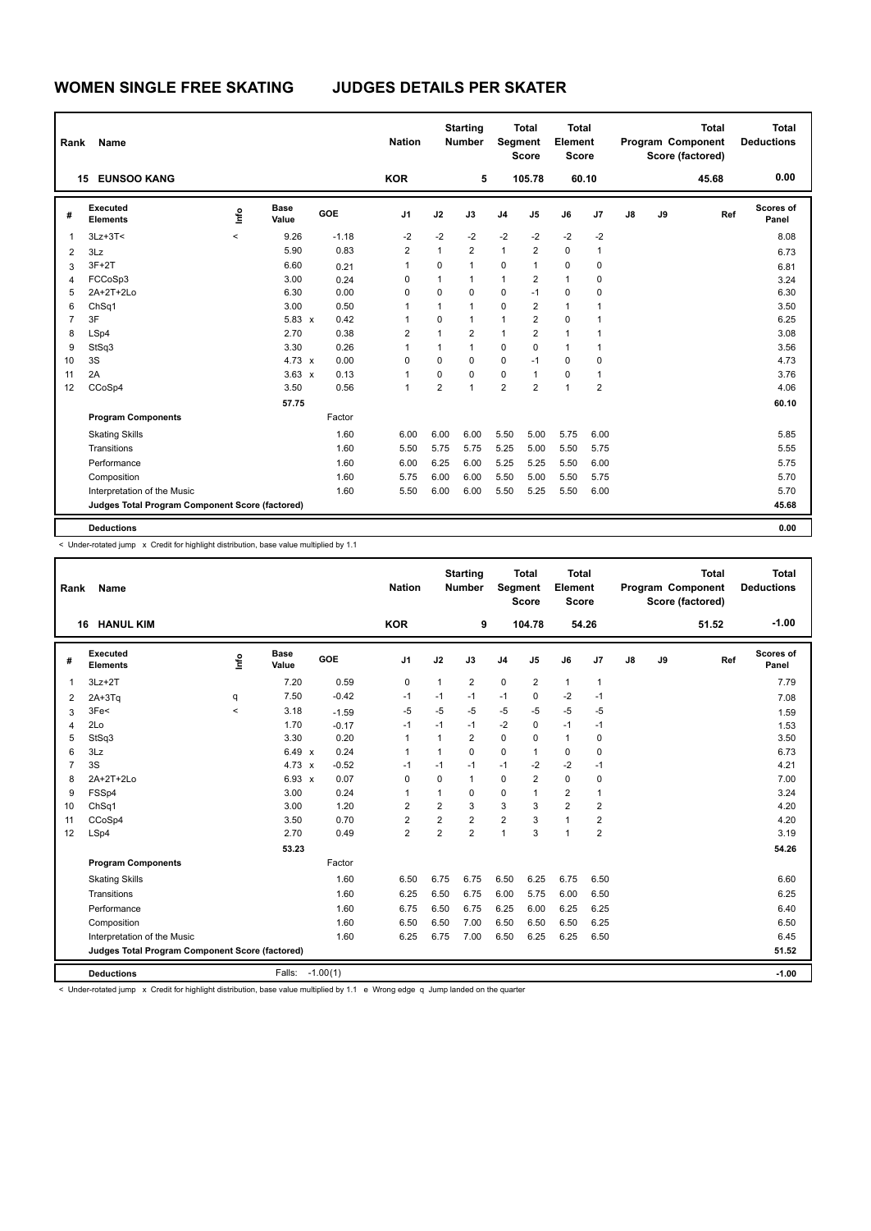| Rank           | Name                                            |         |                      |         | <b>Nation</b>  |                | <b>Starting</b><br><b>Number</b> | Segment        | <b>Total</b><br><b>Score</b> | <b>Total</b><br>Element<br><b>Score</b> |                |    |    | <b>Total</b><br>Program Component<br>Score (factored) | <b>Total</b><br><b>Deductions</b> |
|----------------|-------------------------------------------------|---------|----------------------|---------|----------------|----------------|----------------------------------|----------------|------------------------------|-----------------------------------------|----------------|----|----|-------------------------------------------------------|-----------------------------------|
| 15             | <b>EUNSOO KANG</b>                              |         |                      |         | <b>KOR</b>     |                | 5                                |                | 105.78                       | 60.10                                   |                |    |    | 45.68                                                 | 0.00                              |
| #              | Executed<br><b>Elements</b>                     | Info    | <b>Base</b><br>Value | GOE     | J <sub>1</sub> | J2             | J3                               | J <sub>4</sub> | J <sub>5</sub>               | J6                                      | J7             | J8 | J9 | Ref                                                   | Scores of<br>Panel                |
| 1              | $3Lz + 3T <$                                    | $\prec$ | 9.26                 | $-1.18$ | $-2$           | $-2$           | $-2$                             | $-2$           | $-2$                         | $-2$                                    | $-2$           |    |    |                                                       | 8.08                              |
| 2              | 3Lz                                             |         | 5.90                 | 0.83    | $\overline{2}$ | $\mathbf{1}$   | $\overline{2}$                   | $\mathbf{1}$   | $\overline{2}$               | $\mathbf 0$                             | 1              |    |    |                                                       | 6.73                              |
| 3              | $3F+2T$                                         |         | 6.60                 | 0.21    | $\overline{1}$ | 0              | $\mathbf{1}$                     | 0              | $\mathbf{1}$                 | 0                                       | 0              |    |    |                                                       | 6.81                              |
| $\overline{4}$ | FCCoSp3                                         |         | 3.00                 | 0.24    | 0              | 1              | $\mathbf{1}$                     | $\mathbf{1}$   | 2                            | $\mathbf{1}$                            | 0              |    |    |                                                       | 3.24                              |
| 5              | 2A+2T+2Lo                                       |         | 6.30                 | 0.00    | 0              | 0              | 0                                | 0              | $-1$                         | $\mathbf 0$                             | 0              |    |    |                                                       | 6.30                              |
| 6              | ChSq1                                           |         | 3.00                 | 0.50    | $\overline{1}$ | 1              | $\mathbf{1}$                     | 0              | $\overline{2}$               | $\mathbf{1}$                            |                |    |    |                                                       | 3.50                              |
| $\overline{7}$ | 3F                                              |         | $5.83 \times$        | 0.42    | 1              | $\Omega$       | $\mathbf{1}$                     | $\mathbf{1}$   | $\overline{2}$               | $\mathbf 0$                             |                |    |    |                                                       | 6.25                              |
| 8              | LSp4                                            |         | 2.70                 | 0.38    | $\overline{2}$ | $\mathbf{1}$   | $\overline{2}$                   | $\mathbf{1}$   | $\overline{2}$               | $\mathbf{1}$                            | 1              |    |    |                                                       | 3.08                              |
| 9              | StSq3                                           |         | 3.30                 | 0.26    | $\mathbf{1}$   | $\mathbf{1}$   | $\mathbf{1}$                     | 0              | 0                            | $\mathbf{1}$                            | 1              |    |    |                                                       | 3.56                              |
| 10             | 3S                                              |         | $4.73 \times$        | 0.00    | $\Omega$       | $\Omega$       | 0                                | 0              | $-1$                         | $\mathbf 0$                             | 0              |    |    |                                                       | 4.73                              |
| 11             | 2A                                              |         | $3.63 \times$        | 0.13    | $\overline{1}$ | 0              | $\Omega$                         | 0              | $\overline{1}$               | $\pmb{0}$                               | 1              |    |    |                                                       | 3.76                              |
| 12             | CCoSp4                                          |         | 3.50                 | 0.56    | $\overline{1}$ | $\overline{2}$ | $\mathbf{1}$                     | $\overline{2}$ | $\overline{2}$               | $\mathbf{1}$                            | $\overline{2}$ |    |    |                                                       | 4.06                              |
|                |                                                 |         | 57.75                |         |                |                |                                  |                |                              |                                         |                |    |    |                                                       | 60.10                             |
|                | <b>Program Components</b>                       |         |                      | Factor  |                |                |                                  |                |                              |                                         |                |    |    |                                                       |                                   |
|                | <b>Skating Skills</b>                           |         |                      | 1.60    | 6.00           | 6.00           | 6.00                             | 5.50           | 5.00                         | 5.75                                    | 6.00           |    |    |                                                       | 5.85                              |
|                | Transitions                                     |         |                      | 1.60    | 5.50           | 5.75           | 5.75                             | 5.25           | 5.00                         | 5.50                                    | 5.75           |    |    |                                                       | 5.55                              |
|                | Performance                                     |         |                      | 1.60    | 6.00           | 6.25           | 6.00                             | 5.25           | 5.25                         | 5.50                                    | 6.00           |    |    |                                                       | 5.75                              |
|                | Composition                                     |         |                      | 1.60    | 5.75           | 6.00           | 6.00                             | 5.50           | 5.00                         | 5.50                                    | 5.75           |    |    |                                                       | 5.70                              |
|                | Interpretation of the Music                     |         |                      | 1.60    | 5.50           | 6.00           | 6.00                             | 5.50           | 5.25                         | 5.50                                    | 6.00           |    |    |                                                       | 5.70                              |
|                | Judges Total Program Component Score (factored) |         |                      |         |                |                |                                  |                |                              |                                         |                |    |    |                                                       | 45.68                             |
|                | <b>Deductions</b>                               |         |                      |         |                |                |                                  |                |                              |                                         |                |    |    |                                                       | 0.00                              |

< Under-rotated jump x Credit for highlight distribution, base value multiplied by 1.1

| Rank           | <b>Name</b>                                     |       |                      |            | <b>Nation</b>           |                | <b>Starting</b><br><b>Number</b> | Segment        | <b>Total</b><br><b>Score</b> | Total<br>Element<br><b>Score</b> |                |               |    | <b>Total</b><br>Program Component<br>Score (factored) | <b>Total</b><br><b>Deductions</b> |
|----------------|-------------------------------------------------|-------|----------------------|------------|-------------------------|----------------|----------------------------------|----------------|------------------------------|----------------------------------|----------------|---------------|----|-------------------------------------------------------|-----------------------------------|
|                | <b>HANUL KIM</b><br>16                          |       |                      |            | <b>KOR</b>              |                | 9                                |                | 104.78                       | 54.26                            |                |               |    | 51.52                                                 | $-1.00$                           |
| #              | Executed<br><b>Elements</b>                     | lnfo  | <b>Base</b><br>Value | GOE        | J1                      | J2             | J3                               | J <sub>4</sub> | J5                           | J6                               | J7             | $\mathsf{J}8$ | J9 | Ref                                                   | Scores of<br>Panel                |
| $\mathbf{1}$   | $3Lz + 2T$                                      |       | 7.20                 | 0.59       | $\mathbf 0$             | 1              | 2                                | $\pmb{0}$      | $\overline{\mathbf{c}}$      | $\mathbf{1}$                     | $\mathbf{1}$   |               |    |                                                       | 7.79                              |
| 2              | $2A+3Tq$                                        | q     | 7.50                 | $-0.42$    | $-1$                    | $-1$           | $-1$                             | $-1$           | $\Omega$                     | $-2$                             | $-1$           |               |    |                                                       | 7.08                              |
| 3              | 3Fe<                                            | $\,<$ | 3.18                 | $-1.59$    | $-5$                    | $-5$           | $-5$                             | $-5$           | $-5$                         | $-5$                             | $-5$           |               |    |                                                       | 1.59                              |
| 4              | 2Lo                                             |       | 1.70                 | $-0.17$    | $-1$                    | $-1$           | $-1$                             | $-2$           | $\Omega$                     | $-1$                             | $-1$           |               |    |                                                       | 1.53                              |
| 5              | StSq3                                           |       | 3.30                 | 0.20       | $\mathbf{1}$            | 1              | 2                                | $\pmb{0}$      | $\Omega$                     | $\mathbf{1}$                     | 0              |               |    |                                                       | 3.50                              |
| 6              | 3Lz                                             |       | $6.49 \times$        | 0.24       | $\mathbf{1}$            | 1              | 0                                | 0              | $\mathbf{1}$                 | 0                                | $\mathbf 0$    |               |    |                                                       | 6.73                              |
| $\overline{7}$ | 3S                                              |       | $4.73 \times$        | $-0.52$    | $-1$                    | $-1$           | $-1$                             | $-1$           | $-2$                         | $-2$                             | $-1$           |               |    |                                                       | 4.21                              |
| 8              | 2A+2T+2Lo                                       |       | $6.93 \times$        | 0.07       | 0                       | 0              | 1                                | $\mathbf 0$    | $\overline{2}$               | $\mathbf 0$                      | $\mathbf 0$    |               |    |                                                       | 7.00                              |
| 9              | FSSp4                                           |       | 3.00                 | 0.24       | $\mathbf{1}$            | 1              | 0                                | $\mathbf 0$    | 1                            | $\overline{2}$                   | $\mathbf{1}$   |               |    |                                                       | 3.24                              |
| 10             | ChSq1                                           |       | 3.00                 | 1.20       | $\overline{2}$          | $\overline{2}$ | 3                                | 3              | 3                            | $\overline{2}$                   | $\overline{2}$ |               |    |                                                       | 4.20                              |
| 11             | CCoSp4                                          |       | 3.50                 | 0.70       | $\overline{\mathbf{c}}$ | 2              | 2                                | $\overline{2}$ | 3                            | $\overline{1}$                   | $\overline{2}$ |               |    |                                                       | 4.20                              |
| 12             | LSp4                                            |       | 2.70                 | 0.49       | $\overline{2}$          | $\overline{2}$ | $\overline{2}$                   | $\mathbf{1}$   | 3                            | $\overline{1}$                   | $\overline{2}$ |               |    |                                                       | 3.19                              |
|                |                                                 |       | 53.23                |            |                         |                |                                  |                |                              |                                  |                |               |    |                                                       | 54.26                             |
|                | <b>Program Components</b>                       |       |                      | Factor     |                         |                |                                  |                |                              |                                  |                |               |    |                                                       |                                   |
|                | <b>Skating Skills</b>                           |       |                      | 1.60       | 6.50                    | 6.75           | 6.75                             | 6.50           | 6.25                         | 6.75                             | 6.50           |               |    |                                                       | 6.60                              |
|                | Transitions                                     |       |                      | 1.60       | 6.25                    | 6.50           | 6.75                             | 6.00           | 5.75                         | 6.00                             | 6.50           |               |    |                                                       | 6.25                              |
|                | Performance                                     |       |                      | 1.60       | 6.75                    | 6.50           | 6.75                             | 6.25           | 6.00                         | 6.25                             | 6.25           |               |    |                                                       | 6.40                              |
|                | Composition                                     |       |                      | 1.60       | 6.50                    | 6.50           | 7.00                             | 6.50           | 6.50                         | 6.50                             | 6.25           |               |    |                                                       | 6.50                              |
|                | Interpretation of the Music                     |       |                      | 1.60       | 6.25                    | 6.75           | 7.00                             | 6.50           | 6.25                         | 6.25                             | 6.50           |               |    |                                                       | 6.45                              |
|                | Judges Total Program Component Score (factored) |       |                      |            |                         |                |                                  |                |                              |                                  |                |               |    |                                                       | 51.52                             |
|                | <b>Deductions</b>                               |       | Falls:               | $-1.00(1)$ |                         |                |                                  |                |                              |                                  |                |               |    |                                                       | $-1.00$                           |

-<br>< Under-rotated jump x Credit for highlight distribution, base value multiplied by 1.1 e Wrong edge q Jump landed on the quarter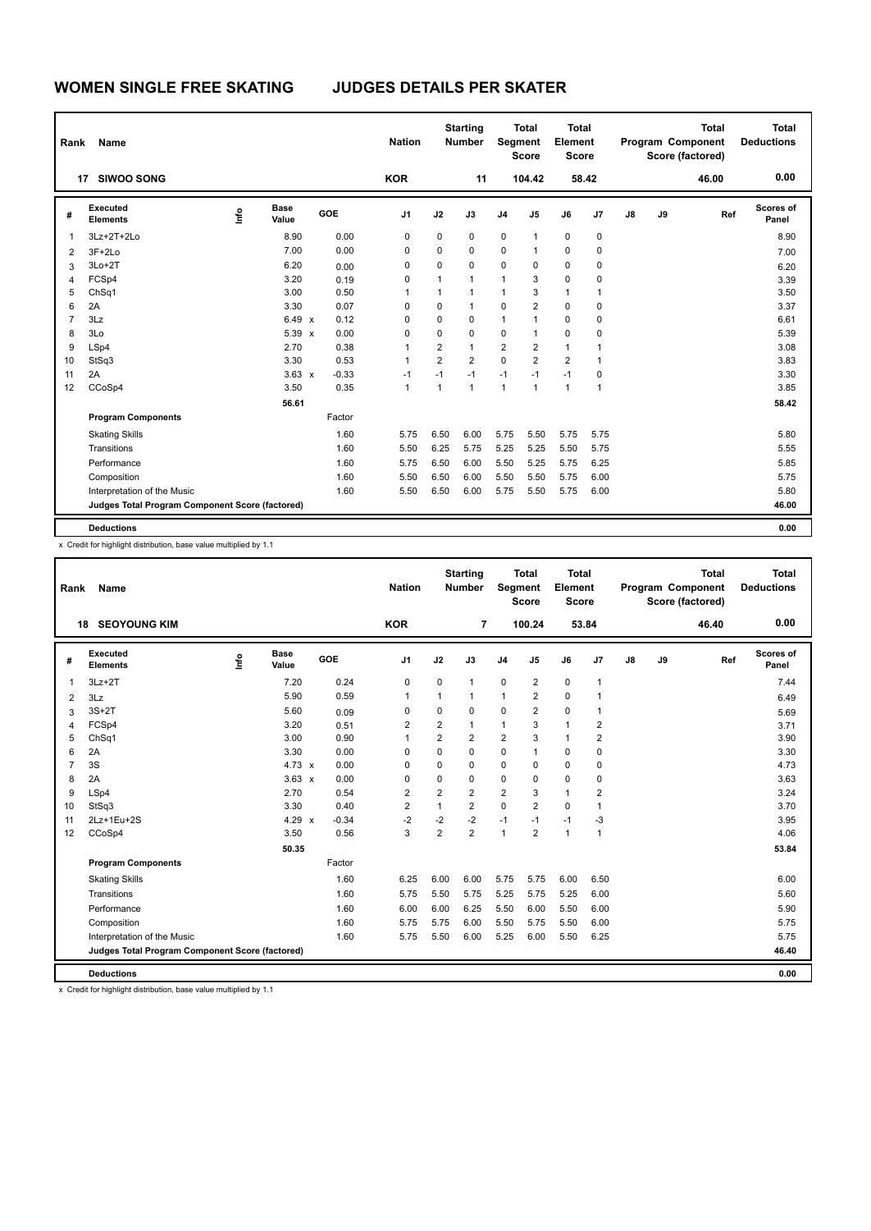| Rank           | Name                                            |      |                      |         | <b>Nation</b>  |                | <b>Starting</b><br><b>Number</b> | Segment                 | <b>Total</b><br><b>Score</b> | <b>Total</b><br>Element<br><b>Score</b> |             |    |    | <b>Total</b><br><b>Program Component</b><br>Score (factored) | <b>Total</b><br><b>Deductions</b> |
|----------------|-------------------------------------------------|------|----------------------|---------|----------------|----------------|----------------------------------|-------------------------|------------------------------|-----------------------------------------|-------------|----|----|--------------------------------------------------------------|-----------------------------------|
|                | <b>SIWOO SONG</b><br>17                         |      |                      |         | <b>KOR</b>     |                | 11                               |                         | 104.42                       |                                         | 58.42       |    |    | 46.00                                                        | 0.00                              |
| #              | Executed<br><b>Elements</b>                     | ١nfo | <b>Base</b><br>Value | GOE     | J <sub>1</sub> | J2             | J3                               | J <sub>4</sub>          | J <sub>5</sub>               | J6                                      | J7          | J8 | J9 | Ref                                                          | Scores of<br>Panel                |
| $\mathbf 1$    | 3Lz+2T+2Lo                                      |      | 8.90                 | 0.00    | 0              | 0              | 0                                | 0                       | $\mathbf{1}$                 | 0                                       | 0           |    |    |                                                              | 8.90                              |
| $\overline{2}$ | $3F+2Lo$                                        |      | 7.00                 | 0.00    | 0              | 0              | $\mathbf 0$                      | 0                       | $\mathbf{1}$                 | 0                                       | 0           |    |    |                                                              | 7.00                              |
| 3              | $3Lo+2T$                                        |      | 6.20                 | 0.00    | 0              | 0              | 0                                | 0                       | 0                            | $\mathbf 0$                             | 0           |    |    |                                                              | 6.20                              |
| $\overline{4}$ | FCSp4                                           |      | 3.20                 | 0.19    | 0              | $\mathbf{1}$   | $\mathbf{1}$                     | 1                       | 3                            | $\mathbf 0$                             | 0           |    |    |                                                              | 3.39                              |
| 5              | ChSq1                                           |      | 3.00                 | 0.50    | 1              | $\mathbf{1}$   | $\mathbf{1}$                     | $\mathbf{1}$            | 3                            | $\mathbf{1}$                            | 1           |    |    |                                                              | 3.50                              |
| 6              | 2A                                              |      | 3.30                 | 0.07    | 0              | 0              | $\mathbf{1}$                     | 0                       | $\overline{2}$               | $\mathbf 0$                             | 0           |    |    |                                                              | 3.37                              |
| $\overline{7}$ | 3Lz                                             |      | 6.49 x               | 0.12    | 0              | 0              | 0                                | $\mathbf{1}$            | 1                            | $\mathbf 0$                             | 0           |    |    |                                                              | 6.61                              |
| 8              | 3Lo                                             |      | 5.39 x               | 0.00    | 0              | 0              | 0                                | 0                       | $\overline{1}$               | $\mathbf 0$                             | 0           |    |    |                                                              | 5.39                              |
| 9              | LSp4                                            |      | 2.70                 | 0.38    | 1              | $\overline{2}$ | $\mathbf{1}$                     | $\overline{\mathbf{c}}$ | $\overline{2}$               | $\mathbf{1}$                            | 1           |    |    |                                                              | 3.08                              |
| 10             | StSq3                                           |      | 3.30                 | 0.53    | $\mathbf{1}$   | $\overline{2}$ | $\overline{2}$                   | 0                       | $\overline{2}$               | $\overline{2}$                          | $\mathbf 1$ |    |    |                                                              | 3.83                              |
| 11             | 2A                                              |      | $3.63 \times$        | $-0.33$ | $-1$           | $-1$           | $-1$                             | $-1$                    | $-1$                         | $-1$                                    | $\mathbf 0$ |    |    |                                                              | 3.30                              |
| 12             | CCoSp4                                          |      | 3.50                 | 0.35    | 1              | 1              | $\mathbf{1}$                     | $\mathbf{1}$            | $\overline{1}$               | $\mathbf{1}$                            | $\mathbf 1$ |    |    |                                                              | 3.85                              |
|                |                                                 |      | 56.61                |         |                |                |                                  |                         |                              |                                         |             |    |    |                                                              | 58.42                             |
|                | <b>Program Components</b>                       |      |                      | Factor  |                |                |                                  |                         |                              |                                         |             |    |    |                                                              |                                   |
|                | <b>Skating Skills</b>                           |      |                      | 1.60    | 5.75           | 6.50           | 6.00                             | 5.75                    | 5.50                         | 5.75                                    | 5.75        |    |    |                                                              | 5.80                              |
|                | Transitions                                     |      |                      | 1.60    | 5.50           | 6.25           | 5.75                             | 5.25                    | 5.25                         | 5.50                                    | 5.75        |    |    |                                                              | 5.55                              |
|                | Performance                                     |      |                      | 1.60    | 5.75           | 6.50           | 6.00                             | 5.50                    | 5.25                         | 5.75                                    | 6.25        |    |    |                                                              | 5.85                              |
|                | Composition                                     |      |                      | 1.60    | 5.50           | 6.50           | 6.00                             | 5.50                    | 5.50                         | 5.75                                    | 6.00        |    |    |                                                              | 5.75                              |
|                | Interpretation of the Music                     |      |                      | 1.60    | 5.50           | 6.50           | 6.00                             | 5.75                    | 5.50                         | 5.75                                    | 6.00        |    |    |                                                              | 5.80                              |
|                | Judges Total Program Component Score (factored) |      |                      |         |                |                |                                  |                         |                              |                                         |             |    |    |                                                              | 46.00                             |
|                | <b>Deductions</b>                               |      |                      |         |                |                |                                  |                         |                              |                                         |             |    |    |                                                              | 0.00                              |

| Rank           | Name                                            |      |                      |         | <b>Nation</b>  |                | <b>Starting</b><br><b>Number</b> | Segment        | <b>Total</b><br><b>Score</b> | Total<br>Element<br><b>Score</b> |                |    |    | <b>Total</b><br>Program Component<br>Score (factored) | <b>Total</b><br><b>Deductions</b> |
|----------------|-------------------------------------------------|------|----------------------|---------|----------------|----------------|----------------------------------|----------------|------------------------------|----------------------------------|----------------|----|----|-------------------------------------------------------|-----------------------------------|
|                | <b>18 SEOYOUNG KIM</b>                          |      |                      |         | <b>KOR</b>     |                | $\overline{7}$                   |                | 100.24                       |                                  | 53.84          |    |    | 46.40                                                 | 0.00                              |
| #              | Executed<br><b>Elements</b>                     | ١nfo | <b>Base</b><br>Value | GOE     | J <sub>1</sub> | J2             | J3                               | J <sub>4</sub> | J5                           | J6                               | J7             | J8 | J9 | Ref                                                   | Scores of<br>Panel                |
| 1              | $3Lz + 2T$                                      |      | 7.20                 | 0.24    | 0              | 0              | 1                                | $\mathbf 0$    | $\overline{2}$               | $\mathbf 0$                      | $\mathbf{1}$   |    |    |                                                       | 7.44                              |
| 2              | 3Lz                                             |      | 5.90                 | 0.59    | $\mathbf{1}$   | 1              | 1                                | $\mathbf{1}$   | $\overline{2}$               | $\mathbf 0$                      | 1              |    |    |                                                       | 6.49                              |
| 3              | $3S+2T$                                         |      | 5.60                 | 0.09    | 0              | 0              | $\Omega$                         | $\mathbf 0$    | $\overline{2}$               | $\mathbf 0$                      | $\mathbf{1}$   |    |    |                                                       | 5.69                              |
| 4              | FCSp4                                           |      | 3.20                 | 0.51    | 2              | 2              | 1                                | 1              | 3                            | $\mathbf{1}$                     | 2              |    |    |                                                       | 3.71                              |
| 5              | ChSq1                                           |      | 3.00                 | 0.90    | $\mathbf{1}$   | $\overline{2}$ | $\overline{2}$                   | $\overline{2}$ | 3                            | $\mathbf{1}$                     | $\overline{2}$ |    |    |                                                       | 3.90                              |
| 6              | 2A                                              |      | 3.30                 | 0.00    | $\Omega$       | $\Omega$       | $\Omega$                         | $\mathbf 0$    | 1                            | $\mathbf 0$                      | 0              |    |    |                                                       | 3.30                              |
| $\overline{7}$ | 3S                                              |      | $4.73 \times$        | 0.00    | $\Omega$       | $\Omega$       | 0                                | 0              | $\Omega$                     | 0                                | 0              |    |    |                                                       | 4.73                              |
| 8              | 2A                                              |      | $3.63 \times$        | 0.00    | 0              | 0              | 0                                | $\mathbf 0$    | 0                            | $\mathbf 0$                      | 0              |    |    |                                                       | 3.63                              |
| 9              | LSp4                                            |      | 2.70                 | 0.54    | $\overline{2}$ | $\overline{2}$ | $\overline{2}$                   | 2              | 3                            | $\mathbf{1}$                     | $\overline{2}$ |    |    |                                                       | 3.24                              |
| 10             | StSq3                                           |      | 3.30                 | 0.40    | $\overline{2}$ | 1              | $\overline{2}$                   | $\mathbf 0$    | $\overline{2}$               | $\mathbf 0$                      | 1              |    |    |                                                       | 3.70                              |
| 11             | 2Lz+1Eu+2S                                      |      | 4.29 $\times$        | $-0.34$ | $-2$           | $-2$           | $-2$                             | $-1$           | $-1$                         | $-1$                             | $-3$           |    |    |                                                       | 3.95                              |
| 12             | CCoSp4                                          |      | 3.50                 | 0.56    | 3              | $\overline{2}$ | $\overline{2}$                   | $\mathbf{1}$   | $\overline{2}$               | $\mathbf{1}$                     | $\mathbf{1}$   |    |    |                                                       | 4.06                              |
|                |                                                 |      | 50.35                |         |                |                |                                  |                |                              |                                  |                |    |    |                                                       | 53.84                             |
|                | <b>Program Components</b>                       |      |                      | Factor  |                |                |                                  |                |                              |                                  |                |    |    |                                                       |                                   |
|                | <b>Skating Skills</b>                           |      |                      | 1.60    | 6.25           | 6.00           | 6.00                             | 5.75           | 5.75                         | 6.00                             | 6.50           |    |    |                                                       | 6.00                              |
|                | Transitions                                     |      |                      | 1.60    | 5.75           | 5.50           | 5.75                             | 5.25           | 5.75                         | 5.25                             | 6.00           |    |    |                                                       | 5.60                              |
|                | Performance                                     |      |                      | 1.60    | 6.00           | 6.00           | 6.25                             | 5.50           | 6.00                         | 5.50                             | 6.00           |    |    |                                                       | 5.90                              |
|                | Composition                                     |      |                      | 1.60    | 5.75           | 5.75           | 6.00                             | 5.50           | 5.75                         | 5.50                             | 6.00           |    |    |                                                       | 5.75                              |
|                | Interpretation of the Music                     |      |                      | 1.60    | 5.75           | 5.50           | 6.00                             | 5.25           | 6.00                         | 5.50                             | 6.25           |    |    |                                                       | 5.75                              |
|                | Judges Total Program Component Score (factored) |      |                      |         |                |                |                                  |                |                              |                                  |                |    |    |                                                       | 46.40                             |
|                | <b>Deductions</b>                               |      |                      |         |                |                |                                  |                |                              |                                  |                |    |    |                                                       | 0.00                              |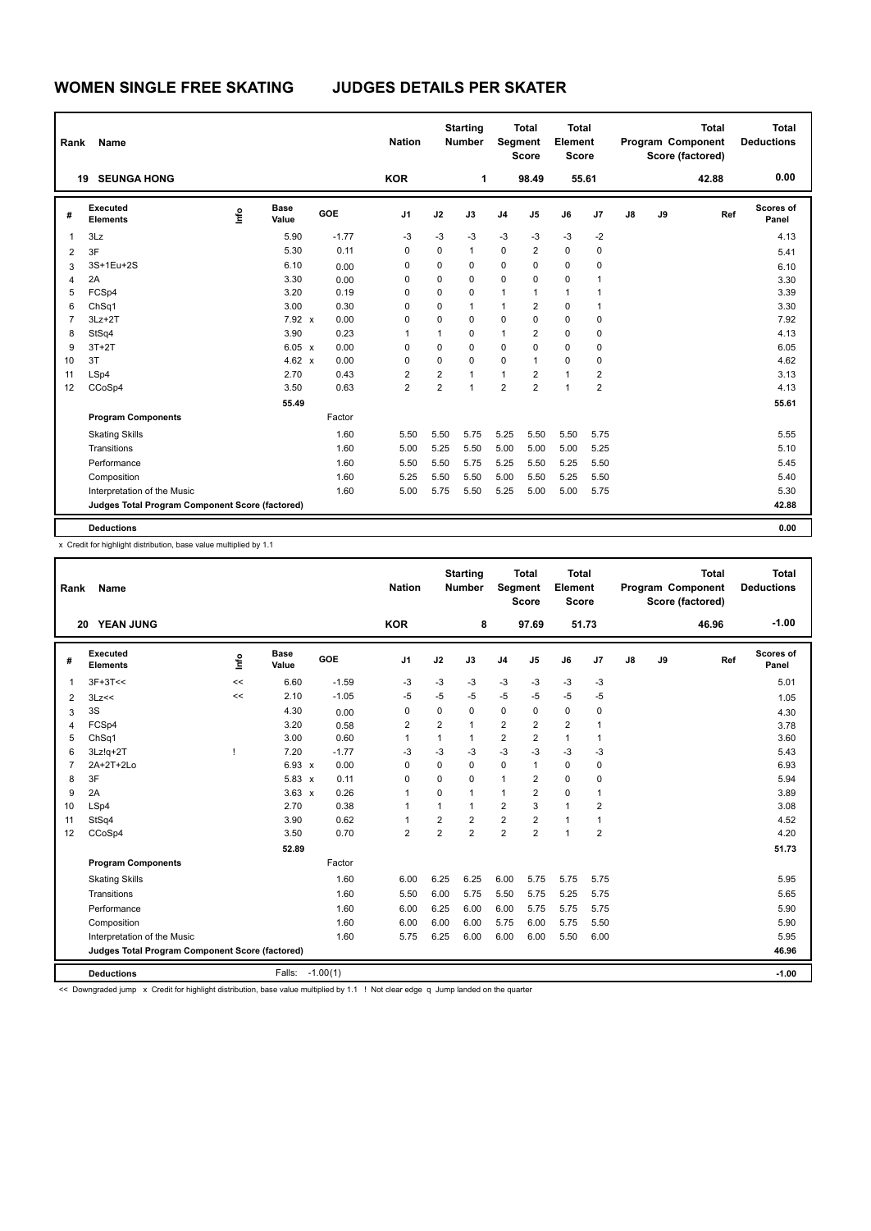| Rank           | Name                                            |      |                      |         | <b>Nation</b>  |                | <b>Starting</b><br><b>Number</b> | Segment        | <b>Total</b><br><b>Score</b> | <b>Total</b><br>Element<br><b>Score</b> |                |    |    | <b>Total</b><br><b>Program Component</b><br>Score (factored) | <b>Total</b><br><b>Deductions</b> |
|----------------|-------------------------------------------------|------|----------------------|---------|----------------|----------------|----------------------------------|----------------|------------------------------|-----------------------------------------|----------------|----|----|--------------------------------------------------------------|-----------------------------------|
|                | <b>SEUNGA HONG</b><br>19                        |      |                      |         | <b>KOR</b>     |                | 1                                |                | 98.49                        | 55.61                                   |                |    |    | 42.88                                                        | 0.00                              |
| #              | Executed<br><b>Elements</b>                     | ١nfo | <b>Base</b><br>Value | GOE     | J <sub>1</sub> | J2             | J3                               | J <sub>4</sub> | J <sub>5</sub>               | J6                                      | J7             | J8 | J9 | Ref                                                          | Scores of<br>Panel                |
| $\overline{1}$ | 3Lz                                             |      | 5.90                 | $-1.77$ | $-3$           | $-3$           | -3                               | $-3$           | $-3$                         | -3                                      | $-2$           |    |    |                                                              | 4.13                              |
| $\overline{2}$ | 3F                                              |      | 5.30                 | 0.11    | 0              | 0              | $\mathbf{1}$                     | 0              | $\overline{2}$               | $\pmb{0}$                               | $\mathbf 0$    |    |    |                                                              | 5.41                              |
| 3              | 3S+1Eu+2S                                       |      | 6.10                 | 0.00    | 0              | 0              | 0                                | 0              | 0                            | $\mathbf 0$                             | 0              |    |    |                                                              | 6.10                              |
| 4              | 2A                                              |      | 3.30                 | 0.00    | 0              | 0              | $\Omega$                         | 0              | $\Omega$                     | $\mathbf 0$                             | 1              |    |    |                                                              | 3.30                              |
| 5              | FCSp4                                           |      | 3.20                 | 0.19    | 0              | 0              | $\mathbf 0$                      | $\mathbf{1}$   | 1                            | $\mathbf{1}$                            | 1              |    |    |                                                              | 3.39                              |
| 6              | ChSq1                                           |      | 3.00                 | 0.30    | 0              | 0              | $\mathbf{1}$                     | 1              | $\overline{2}$               | $\mathbf 0$                             | 1              |    |    |                                                              | 3.30                              |
| $\overline{7}$ | $3Lz + 2T$                                      |      | 7.92 x               | 0.00    | 0              | 0              | 0                                | 0              | 0                            | $\mathbf 0$                             | $\mathbf 0$    |    |    |                                                              | 7.92                              |
| 8              | StSq4                                           |      | 3.90                 | 0.23    | 1              | 1              | 0                                | 1              | $\overline{2}$               | $\mathbf 0$                             | 0              |    |    |                                                              | 4.13                              |
| 9              | $3T+2T$                                         |      | 6.05 x               | 0.00    | $\Omega$       | 0              | $\Omega$                         | 0              | 0                            | $\Omega$                                | 0              |    |    |                                                              | 6.05                              |
| 10             | 3T                                              |      | 4.62 $\times$        | 0.00    | 0              | 0              | $\Omega$                         | 0              | $\mathbf{1}$                 | $\mathbf 0$                             | 0              |    |    |                                                              | 4.62                              |
| 11             | LSp4                                            |      | 2.70                 | 0.43    | $\overline{2}$ | 2              | $\mathbf{1}$                     | 1              | $\overline{2}$               | $\mathbf{1}$                            | $\overline{2}$ |    |    |                                                              | 3.13                              |
| 12             | CCoSp4                                          |      | 3.50                 | 0.63    | $\overline{2}$ | $\overline{2}$ | $\blacktriangleleft$             | $\overline{2}$ | $\overline{2}$               | $\mathbf{1}$                            | $\overline{2}$ |    |    |                                                              | 4.13                              |
|                |                                                 |      | 55.49                |         |                |                |                                  |                |                              |                                         |                |    |    |                                                              | 55.61                             |
|                | <b>Program Components</b>                       |      |                      | Factor  |                |                |                                  |                |                              |                                         |                |    |    |                                                              |                                   |
|                | <b>Skating Skills</b>                           |      |                      | 1.60    | 5.50           | 5.50           | 5.75                             | 5.25           | 5.50                         | 5.50                                    | 5.75           |    |    |                                                              | 5.55                              |
|                | Transitions                                     |      |                      | 1.60    | 5.00           | 5.25           | 5.50                             | 5.00           | 5.00                         | 5.00                                    | 5.25           |    |    |                                                              | 5.10                              |
|                | Performance                                     |      |                      | 1.60    | 5.50           | 5.50           | 5.75                             | 5.25           | 5.50                         | 5.25                                    | 5.50           |    |    |                                                              | 5.45                              |
|                | Composition                                     |      |                      | 1.60    | 5.25           | 5.50           | 5.50                             | 5.00           | 5.50                         | 5.25                                    | 5.50           |    |    |                                                              | 5.40                              |
|                | Interpretation of the Music                     |      |                      | 1.60    | 5.00           | 5.75           | 5.50                             | 5.25           | 5.00                         | 5.00                                    | 5.75           |    |    |                                                              | 5.30                              |
|                | Judges Total Program Component Score (factored) |      |                      |         |                |                |                                  |                |                              |                                         |                |    |    |                                                              | 42.88                             |
|                | <b>Deductions</b>                               |      |                      |         |                |                |                                  |                |                              |                                         |                |    |    |                                                              | 0.00                              |

| Rank           | Name                                            |      |                 |         | <b>Nation</b>  |                | <b>Starting</b><br><b>Number</b> |                | <b>Total</b><br>Segment<br><b>Score</b> | Total<br>Element<br>Score |                |    |    | <b>Total</b><br>Program Component<br>Score (factored) | <b>Total</b><br><b>Deductions</b> |
|----------------|-------------------------------------------------|------|-----------------|---------|----------------|----------------|----------------------------------|----------------|-----------------------------------------|---------------------------|----------------|----|----|-------------------------------------------------------|-----------------------------------|
|                | 20 YEAN JUNG                                    |      |                 |         | <b>KOR</b>     |                | 8                                |                | 97.69                                   |                           | 51.73          |    |    | 46.96                                                 | $-1.00$                           |
| #              | Executed<br><b>Elements</b>                     | lnfo | Base<br>Value   | GOE     | J1             | J2             | J3                               | J <sub>4</sub> | J5                                      | J6                        | J7             | J8 | J9 | Ref                                                   | <b>Scores of</b><br>Panel         |
| $\mathbf{1}$   | $3F+3T<<$                                       | <<   | 6.60            | $-1.59$ | $-3$           | $-3$           | $-3$                             | $-3$           | $-3$                                    | $-3$                      | $-3$           |    |    |                                                       | 5.01                              |
| 2              | 3Lz<<                                           | <<   | 2.10            | $-1.05$ | $-5$           | $-5$           | $-5$                             | $-5$           | $-5$                                    | $-5$                      | $-5$           |    |    |                                                       | 1.05                              |
| 3              | 3S                                              |      | 4.30            | 0.00    | 0              | 0              | 0                                | $\mathbf 0$    | 0                                       | $\mathbf 0$               | 0              |    |    |                                                       | 4.30                              |
| 4              | FCSp4                                           |      | 3.20            | 0.58    | 2              | $\overline{2}$ | 1                                | $\overline{2}$ | $\overline{2}$                          | $\overline{2}$            | 1              |    |    |                                                       | 3.78                              |
| 5              | ChSq1                                           |      | 3.00            | 0.60    | 1              | 1              | $\mathbf{1}$                     | $\overline{2}$ | $\overline{2}$                          | $\mathbf{1}$              | $\mathbf{1}$   |    |    |                                                       | 3.60                              |
| 6              | 3Lz!g+2T                                        | ı    | 7.20            | $-1.77$ | $-3$           | $-3$           | $-3$                             | $-3$           | $-3$                                    | $-3$                      | $-3$           |    |    |                                                       | 5.43                              |
| $\overline{7}$ | 2A+2T+2Lo                                       |      | $6.93 \times$   | 0.00    | $\Omega$       | $\Omega$       | 0                                | $\mathbf 0$    | $\mathbf{1}$                            | $\mathbf 0$               | 0              |    |    |                                                       | 6.93                              |
| 8              | 3F                                              |      | $5.83 \times$   | 0.11    | $\Omega$       | 0              | 0                                | $\mathbf{1}$   | 2                                       | $\mathbf 0$               | 0              |    |    |                                                       | 5.94                              |
| 9              | 2A                                              |      | $3.63 \times$   | 0.26    | 1              | 0              | 1                                | $\mathbf{1}$   | $\overline{2}$                          | $\mathbf 0$               | 1              |    |    |                                                       | 3.89                              |
| 10             | LSp4                                            |      | 2.70            | 0.38    | 1              | 1              | 1                                | $\overline{2}$ | 3                                       | $\mathbf{1}$              | $\overline{2}$ |    |    |                                                       | 3.08                              |
| 11             | StSq4                                           |      | 3.90            | 0.62    | 1              | $\overline{2}$ | $\overline{2}$                   | $\overline{2}$ | $\overline{2}$                          | $\mathbf{1}$              | $\mathbf{1}$   |    |    |                                                       | 4.52                              |
| 12             | CCoSp4                                          |      | 3.50            | 0.70    | $\overline{2}$ | $\overline{2}$ | $\overline{2}$                   | $\overline{2}$ | $\overline{2}$                          | $\mathbf{1}$              | $\overline{2}$ |    |    |                                                       | 4.20                              |
|                |                                                 |      | 52.89           |         |                |                |                                  |                |                                         |                           |                |    |    |                                                       | 51.73                             |
|                | <b>Program Components</b>                       |      |                 | Factor  |                |                |                                  |                |                                         |                           |                |    |    |                                                       |                                   |
|                | <b>Skating Skills</b>                           |      |                 | 1.60    | 6.00           | 6.25           | 6.25                             | 6.00           | 5.75                                    | 5.75                      | 5.75           |    |    |                                                       | 5.95                              |
|                | Transitions                                     |      |                 | 1.60    | 5.50           | 6.00           | 5.75                             | 5.50           | 5.75                                    | 5.25                      | 5.75           |    |    |                                                       | 5.65                              |
|                | Performance                                     |      |                 | 1.60    | 6.00           | 6.25           | 6.00                             | 6.00           | 5.75                                    | 5.75                      | 5.75           |    |    |                                                       | 5.90                              |
|                | Composition                                     |      |                 | 1.60    | 6.00           | 6.00           | 6.00                             | 5.75           | 6.00                                    | 5.75                      | 5.50           |    |    |                                                       | 5.90                              |
|                | Interpretation of the Music                     |      |                 | 1.60    | 5.75           | 6.25           | 6.00                             | 6.00           | 6.00                                    | 5.50                      | 6.00           |    |    |                                                       | 5.95                              |
|                | Judges Total Program Component Score (factored) |      |                 |         |                |                |                                  |                |                                         |                           |                |    |    |                                                       | 46.96                             |
|                | <b>Deductions</b>                               |      | Falls: -1.00(1) |         |                |                |                                  |                |                                         |                           |                |    |    |                                                       | $-1.00$                           |

<< Downgraded jump x Credit for highlight distribution, base value multiplied by 1.1 ! Not clear edge q Jump landed on the quarter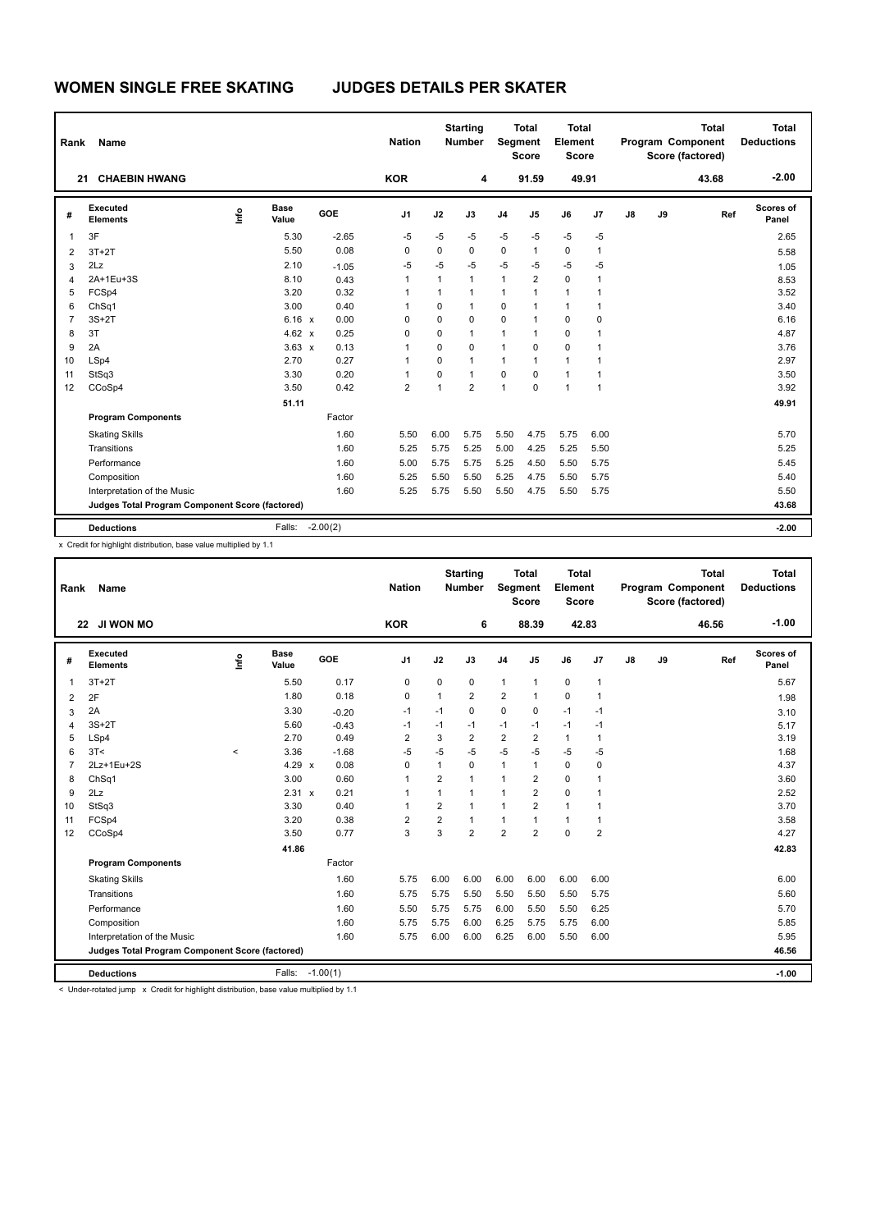| Rank           | <b>Name</b>                                     |      |                      |            | <b>Nation</b>  |              | <b>Starting</b><br><b>Number</b> |                | <b>Total</b><br>Segment<br><b>Score</b> | <b>Total</b><br>Element<br><b>Score</b> |                |    |    | <b>Total</b><br>Program Component<br>Score (factored) | <b>Total</b><br><b>Deductions</b> |
|----------------|-------------------------------------------------|------|----------------------|------------|----------------|--------------|----------------------------------|----------------|-----------------------------------------|-----------------------------------------|----------------|----|----|-------------------------------------------------------|-----------------------------------|
|                | <b>CHAEBIN HWANG</b><br>21                      |      |                      |            | <b>KOR</b>     |              | 4                                |                | 91.59                                   | 49.91                                   |                |    |    | 43.68                                                 | $-2.00$                           |
| #              | Executed<br><b>Elements</b>                     | lnfo | <b>Base</b><br>Value | GOE        | J <sub>1</sub> | J2           | J3                               | J <sub>4</sub> | J <sub>5</sub>                          | J6                                      | J <sub>7</sub> | J8 | J9 | Ref                                                   | Scores of<br>Panel                |
| $\mathbf 1$    | 3F                                              |      | 5.30                 | $-2.65$    | $-5$           | $-5$         | $-5$                             | $-5$           | $-5$                                    | $-5$                                    | $-5$           |    |    |                                                       | 2.65                              |
| $\overline{2}$ | $3T+2T$                                         |      | 5.50                 | 0.08       | 0              | 0            | $\mathbf 0$                      | 0              | $\mathbf{1}$                            | $\mathbf 0$                             | 1              |    |    |                                                       | 5.58                              |
| 3              | 2Lz                                             |      | 2.10                 | $-1.05$    | $-5$           | $-5$         | $-5$                             | $-5$           | $-5$                                    | $-5$                                    | $-5$           |    |    |                                                       | 1.05                              |
| $\overline{4}$ | 2A+1Eu+3S                                       |      | 8.10                 | 0.43       | 1              | 1            | $\mathbf{1}$                     | $\mathbf{1}$   | $\overline{2}$                          | $\mathbf 0$                             | 1              |    |    |                                                       | 8.53                              |
| 5              | FCSp4                                           |      | 3.20                 | 0.32       | 1              | $\mathbf{1}$ | $\mathbf{1}$                     | $\mathbf{1}$   | $\overline{1}$                          | $\mathbf{1}$                            | 1              |    |    |                                                       | 3.52                              |
| 6              | ChSq1                                           |      | 3.00                 | 0.40       | 1              | 0            | $\mathbf{1}$                     | 0              | $\overline{1}$                          | $\mathbf{1}$                            | 1              |    |    |                                                       | 3.40                              |
| $\overline{7}$ | $3S+2T$                                         |      | 6.16 x               | 0.00       | 0              | 0            | $\mathbf 0$                      | 0              | 1                                       | $\mathbf 0$                             | 0              |    |    |                                                       | 6.16                              |
| 8              | 3T                                              |      | 4.62 $\times$        | 0.25       | $\Omega$       | $\Omega$     | $\mathbf{1}$                     | 1              | $\overline{1}$                          | $\mathbf 0$                             | 1              |    |    |                                                       | 4.87                              |
| 9              | 2A                                              |      | $3.63 \times$        | 0.13       | 1              | 0            | $\Omega$                         | 1              | $\Omega$                                | $\Omega$                                | 1              |    |    |                                                       | 3.76                              |
| 10             | LSp4                                            |      | 2.70                 | 0.27       | 1              | $\Omega$     | $\mathbf{1}$                     | $\mathbf{1}$   | $\mathbf{1}$                            | $\mathbf{1}$                            | $\mathbf{1}$   |    |    |                                                       | 2.97                              |
| 11             | StSq3                                           |      | 3.30                 | 0.20       | 1              | 0            | $\overline{1}$                   | $\Omega$       | $\Omega$                                | $\mathbf{1}$                            | 1              |    |    |                                                       | 3.50                              |
| 12             | CCoSp4                                          |      | 3.50                 | 0.42       | 2              | 1            | $\overline{2}$                   | 1              | 0                                       | $\mathbf{1}$                            | $\overline{1}$ |    |    |                                                       | 3.92                              |
|                |                                                 |      | 51.11                |            |                |              |                                  |                |                                         |                                         |                |    |    |                                                       | 49.91                             |
|                | <b>Program Components</b>                       |      |                      | Factor     |                |              |                                  |                |                                         |                                         |                |    |    |                                                       |                                   |
|                | <b>Skating Skills</b>                           |      |                      | 1.60       | 5.50           | 6.00         | 5.75                             | 5.50           | 4.75                                    | 5.75                                    | 6.00           |    |    |                                                       | 5.70                              |
|                | Transitions                                     |      |                      | 1.60       | 5.25           | 5.75         | 5.25                             | 5.00           | 4.25                                    | 5.25                                    | 5.50           |    |    |                                                       | 5.25                              |
|                | Performance                                     |      |                      | 1.60       | 5.00           | 5.75         | 5.75                             | 5.25           | 4.50                                    | 5.50                                    | 5.75           |    |    |                                                       | 5.45                              |
|                | Composition                                     |      |                      | 1.60       | 5.25           | 5.50         | 5.50                             | 5.25           | 4.75                                    | 5.50                                    | 5.75           |    |    |                                                       | 5.40                              |
|                | Interpretation of the Music                     |      |                      | 1.60       | 5.25           | 5.75         | 5.50                             | 5.50           | 4.75                                    | 5.50                                    | 5.75           |    |    |                                                       | 5.50                              |
|                | Judges Total Program Component Score (factored) |      |                      |            |                |              |                                  |                |                                         |                                         |                |    |    |                                                       | 43.68                             |
|                | <b>Deductions</b>                               |      | Falls:               | $-2.00(2)$ |                |              |                                  |                |                                         |                                         |                |    |    |                                                       | $-2.00$                           |

| Rank           | Name                                            |             |                      |            | <b>Nation</b>  |                         | <b>Starting</b><br><b>Number</b> | Segment        | <b>Total</b><br><b>Score</b> | Total<br>Element<br><b>Score</b> |                |               |    | <b>Total</b><br>Program Component<br>Score (factored) | <b>Total</b><br><b>Deductions</b> |
|----------------|-------------------------------------------------|-------------|----------------------|------------|----------------|-------------------------|----------------------------------|----------------|------------------------------|----------------------------------|----------------|---------------|----|-------------------------------------------------------|-----------------------------------|
|                | JI WON MO<br>22                                 |             |                      |            | <b>KOR</b>     |                         | 6                                |                | 88.39                        |                                  | 42.83          |               |    | 46.56                                                 | $-1.00$                           |
| #              | Executed<br><b>Elements</b>                     | <b>Info</b> | <b>Base</b><br>Value | GOE        | J <sub>1</sub> | J2                      | J3                               | J <sub>4</sub> | J <sub>5</sub>               | J6                               | J7             | $\mathsf{J}8$ | J9 | Ref                                                   | <b>Scores of</b><br>Panel         |
| 1              | $3T+2T$                                         |             | 5.50                 | 0.17       | $\mathbf 0$    | 0                       | 0                                | $\mathbf{1}$   | 1                            | $\pmb{0}$                        | $\mathbf{1}$   |               |    |                                                       | 5.67                              |
| 2              | 2F                                              |             | 1.80                 | 0.18       | 0              | $\mathbf{1}$            | $\overline{2}$                   | 2              | $\mathbf{1}$                 | $\mathbf 0$                      | $\mathbf{1}$   |               |    |                                                       | 1.98                              |
| 3              | 2A                                              |             | 3.30                 | $-0.20$    | -1             | $-1$                    | $\Omega$                         | $\mathbf 0$    | 0                            | $-1$                             | $-1$           |               |    |                                                       | 3.10                              |
| 4              | $3S+2T$                                         |             | 5.60                 | $-0.43$    | $-1$           | $-1$                    | $-1$                             | $-1$           | $-1$                         | $-1$                             | $-1$           |               |    |                                                       | 5.17                              |
| 5              | LSp4                                            |             | 2.70                 | 0.49       | 2              | 3                       | $\overline{2}$                   | $\overline{2}$ | 2                            | $\mathbf{1}$                     | $\mathbf{1}$   |               |    |                                                       | 3.19                              |
| 6              | 3T<                                             | $\prec$     | 3.36                 | $-1.68$    | $-5$           | $-5$                    | $-5$                             | $-5$           | $-5$                         | $-5$                             | $-5$           |               |    |                                                       | 1.68                              |
| $\overline{7}$ | 2Lz+1Eu+2S                                      |             | $4.29 \times$        | 0.08       | $\Omega$       | 1                       | $\Omega$                         | $\mathbf{1}$   | 1                            | $\mathbf 0$                      | $\mathbf 0$    |               |    |                                                       | 4.37                              |
| 8              | Ch <sub>Sq1</sub>                               |             | 3.00                 | 0.60       | $\mathbf{1}$   | $\overline{2}$          | 1                                | $\mathbf{1}$   | $\overline{2}$               | $\Omega$                         | 1              |               |    |                                                       | 3.60                              |
| 9              | 2Lz                                             |             | 2.31 x               | 0.21       | $\mathbf{1}$   | 1                       | 1                                | 1              | $\overline{2}$               | $\mathbf 0$                      | 1              |               |    |                                                       | 2.52                              |
| 10             | StSq3                                           |             | 3.30                 | 0.40       | $\mathbf{1}$   | $\overline{\mathbf{c}}$ | $\mathbf{1}$                     | $\mathbf{1}$   | $\overline{2}$               | $\mathbf{1}$                     | 1              |               |    |                                                       | 3.70                              |
| 11             | FCSp4                                           |             | 3.20                 | 0.38       | $\overline{2}$ | $\overline{2}$          | 1                                | 1              | 1                            | $\mathbf{1}$                     | $\mathbf 1$    |               |    |                                                       | 3.58                              |
| 12             | CCoSp4                                          |             | 3.50                 | 0.77       | 3              | 3                       | $\overline{2}$                   | $\overline{2}$ | $\overline{2}$               | $\Omega$                         | $\overline{2}$ |               |    |                                                       | 4.27                              |
|                |                                                 |             | 41.86                |            |                |                         |                                  |                |                              |                                  |                |               |    |                                                       | 42.83                             |
|                | <b>Program Components</b>                       |             |                      | Factor     |                |                         |                                  |                |                              |                                  |                |               |    |                                                       |                                   |
|                | <b>Skating Skills</b>                           |             |                      | 1.60       | 5.75           | 6.00                    | 6.00                             | 6.00           | 6.00                         | 6.00                             | 6.00           |               |    |                                                       | 6.00                              |
|                | Transitions                                     |             |                      | 1.60       | 5.75           | 5.75                    | 5.50                             | 5.50           | 5.50                         | 5.50                             | 5.75           |               |    |                                                       | 5.60                              |
|                | Performance                                     |             |                      | 1.60       | 5.50           | 5.75                    | 5.75                             | 6.00           | 5.50                         | 5.50                             | 6.25           |               |    |                                                       | 5.70                              |
|                | Composition                                     |             |                      | 1.60       | 5.75           | 5.75                    | 6.00                             | 6.25           | 5.75                         | 5.75                             | 6.00           |               |    |                                                       | 5.85                              |
|                | Interpretation of the Music                     |             |                      | 1.60       | 5.75           | 6.00                    | 6.00                             | 6.25           | 6.00                         | 5.50                             | 6.00           |               |    |                                                       | 5.95                              |
|                | Judges Total Program Component Score (factored) |             |                      |            |                |                         |                                  |                |                              |                                  |                |               |    |                                                       | 46.56                             |
|                | <b>Deductions</b>                               |             | Falls:               | $-1.00(1)$ |                |                         |                                  |                |                              |                                  |                |               |    |                                                       | $-1.00$                           |

-<br>< Under-rotated jump x Credit for highlight distribution, base value multiplied by 1.1